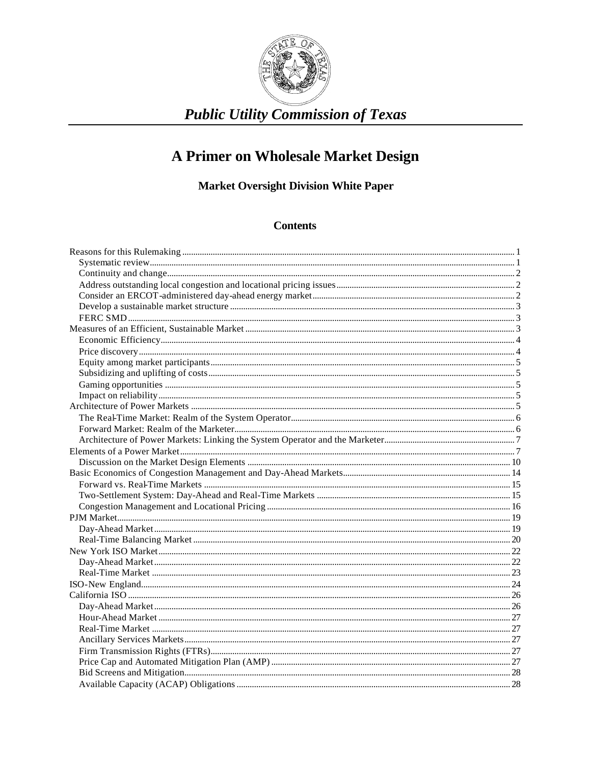

# A Primer on Wholesale Market Design

**Market Oversight Division White Paper** 

#### **Contents**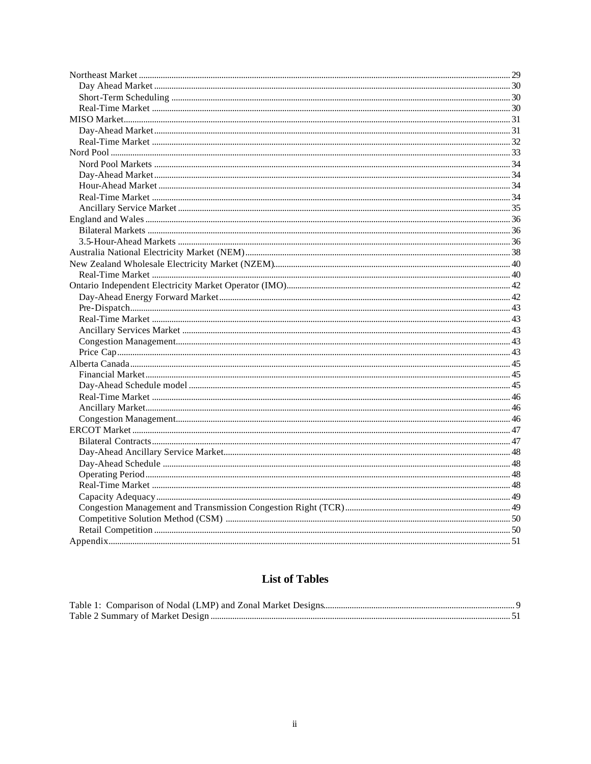### **List of Tables**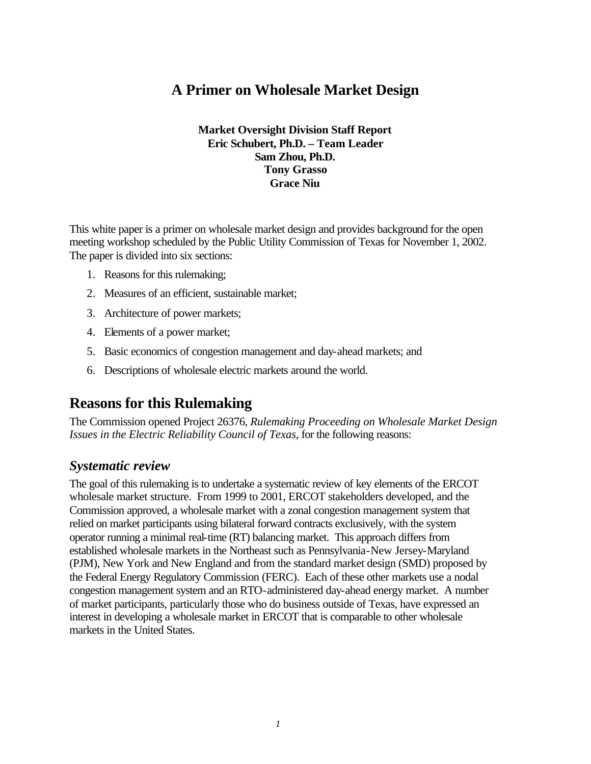# **A Primer on Wholesale Market Design**

#### **Market Oversight Division Staff Report Eric Schubert, Ph.D. – Team Leader Sam Zhou, Ph.D. Tony Grasso Grace Niu**

This white paper is a primer on wholesale market design and provides background for the open meeting workshop scheduled by the Public Utility Commission of Texas for November 1, 2002. The paper is divided into six sections:

- 1. Reasons for this rulemaking;
- 2. Measures of an efficient, sustainable market;
- 3. Architecture of power markets;
- 4. Elements of a power market;
- 5. Basic economics of congestion management and day-ahead markets; and
- 6. Descriptions of wholesale electric markets around the world.

### **Reasons for this Rulemaking**

The Commission opened Project 26376, *Rulemaking Proceeding on Wholesale Market Design Issues in the Electric Reliability Council of Texas*, for the following reasons:

#### *Systematic review*

The goal of this rulemaking is to undertake a systematic review of key elements of the ERCOT wholesale market structure. From 1999 to 2001, ERCOT stakeholders developed, and the Commission approved, a wholesale market with a zonal congestion management system that relied on market participants using bilateral forward contracts exclusively, with the system operator running a minimal real-time (RT) balancing market. This approach differs from established wholesale markets in the Northeast such as Pennsylvania-New Jersey-Maryland (PJM), New York and New England and from the standard market design (SMD) proposed by the Federal Energy Regulatory Commission (FERC). Each of these other markets use a nodal congestion management system and an RTO-administered day-ahead energy market. A number of market participants, particularly those who do business outside of Texas, have expressed an interest in developing a wholesale market in ERCOT that is comparable to other wholesale markets in the United States.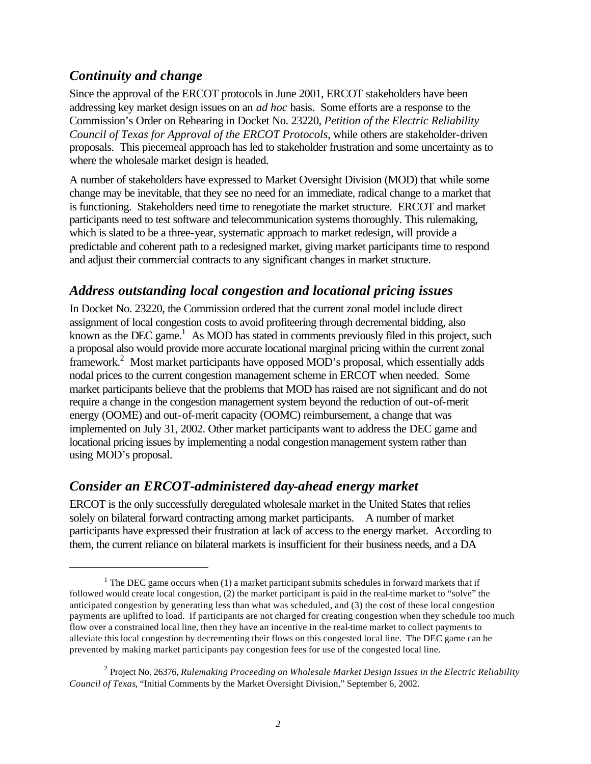# *Continuity and change*

l

Since the approval of the ERCOT protocols in June 2001, ERCOT stakeholders have been addressing key market design issues on an *ad hoc* basis. Some efforts are a response to the Commission's Order on Rehearing in Docket No. 23220, *Petition of the Electric Reliability Council of Texas for Approval of the ERCOT Protocols*, while others are stakeholder-driven proposals. This piecemeal approach has led to stakeholder frustration and some uncertainty as to where the wholesale market design is headed.

A number of stakeholders have expressed to Market Oversight Division (MOD) that while some change may be inevitable, that they see no need for an immediate, radical change to a market that is functioning. Stakeholders need time to renegotiate the market structure. ERCOT and market participants need to test software and telecommunication systems thoroughly. This rulemaking, which is slated to be a three-year, systematic approach to market redesign, will provide a predictable and coherent path to a redesigned market, giving market participants time to respond and adjust their commercial contracts to any significant changes in market structure.

## *Address outstanding local congestion and locational pricing issues*

In Docket No. 23220, the Commission ordered that the current zonal model include direct assignment of local congestion costs to avoid profiteering through decremental bidding, also known as the DEC game.<sup>1</sup> As MOD has stated in comments previously filed in this project, such a proposal also would provide more accurate locational marginal pricing within the current zonal framework.<sup>2</sup> Most market participants have opposed MOD's proposal, which essentially adds nodal prices to the current congestion management scheme in ERCOT when needed. Some market participants believe that the problems that MOD has raised are not significant and do not require a change in the congestion management system beyond the reduction of out-of-merit energy (OOME) and out-of-merit capacity (OOMC) reimbursement, a change that was implemented on July 31, 2002. Other market participants want to address the DEC game and locational pricing issues by implementing a nodal congestion management system rather than using MOD's proposal.

### *Consider an ERCOT-administered day-ahead energy market*

ERCOT is the only successfully deregulated wholesale market in the United States that relies solely on bilateral forward contracting among market participants.A number of market participants have expressed their frustration at lack of access to the energy market. According to them, the current reliance on bilateral markets is insufficient for their business needs, and a DA

<sup>&</sup>lt;sup>1</sup> The DEC game occurs when (1) a market participant submits schedules in forward markets that if followed would create local congestion, (2) the market participant is paid in the real-time market to "solve" the anticipated congestion by generating less than what was scheduled, and (3) the cost of these local congestion payments are uplifted to load. If participants are not charged for creating congestion when they schedule too much flow over a constrained local line, then they have an incentive in the real-time market to collect payments to alleviate this local congestion by decrementing their flows on this congested local line. The DEC game can be prevented by making market participants pay congestion fees for use of the congested local line.

<sup>2</sup> Project No. 26376, *Rulemaking Proceeding on Wholesale Market Design Issues in the Electric Reliability Council of Texas*, "Initial Comments by the Market Oversight Division," September 6, 2002.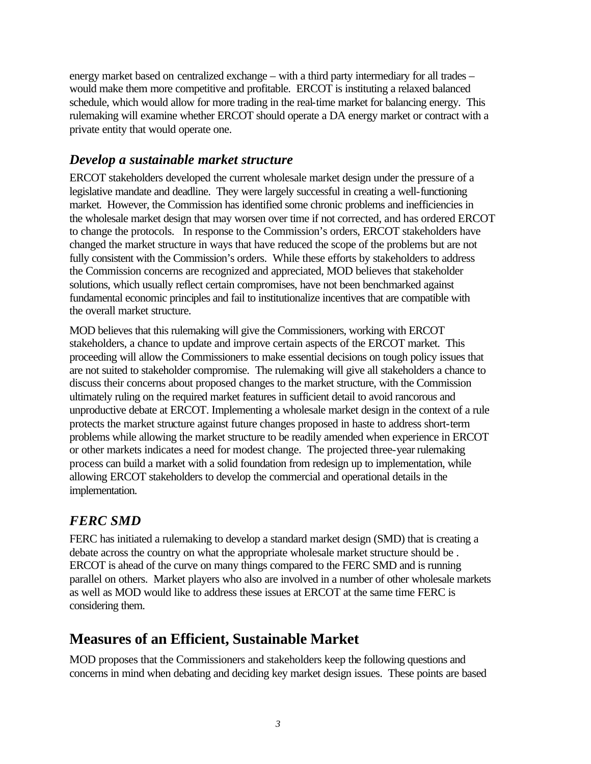energy market based on centralized exchange – with a third party intermediary for all trades – would make them more competitive and profitable. ERCOT is instituting a relaxed balanced schedule, which would allow for more trading in the real-time market for balancing energy. This rulemaking will examine whether ERCOT should operate a DA energy market or contract with a private entity that would operate one.

# *Develop a sustainable market structure*

ERCOT stakeholders developed the current wholesale market design under the pressure of a legislative mandate and deadline. They were largely successful in creating a well-functioning market. However, the Commission has identified some chronic problems and inefficiencies in the wholesale market design that may worsen over time if not corrected, and has ordered ERCOT to change the protocols. In response to the Commission's orders, ERCOT stakeholders have changed the market structure in ways that have reduced the scope of the problems but are not fully consistent with the Commission's orders. While these efforts by stakeholders to address the Commission concerns are recognized and appreciated, MOD believes that stakeholder solutions, which usually reflect certain compromises, have not been benchmarked against fundamental economic principles and fail to institutionalize incentives that are compatible with the overall market structure.

MOD believes that this rulemaking will give the Commissioners, working with ERCOT stakeholders, a chance to update and improve certain aspects of the ERCOT market. This proceeding will allow the Commissioners to make essential decisions on tough policy issues that are not suited to stakeholder compromise. The rulemaking will give all stakeholders a chance to discuss their concerns about proposed changes to the market structure, with the Commission ultimately ruling on the required market features in sufficient detail to avoid rancorous and unproductive debate at ERCOT. Implementing a wholesale market design in the context of a rule protects the market structure against future changes proposed in haste to address short-term problems while allowing the market structure to be readily amended when experience in ERCOT or other markets indicates a need for modest change. The projected three-year rulemaking process can build a market with a solid foundation from redesign up to implementation, while allowing ERCOT stakeholders to develop the commercial and operational details in the implementation.

# *FERC SMD*

FERC has initiated a rulemaking to develop a standard market design (SMD) that is creating a debate across the country on what the appropriate wholesale market structure should be . ERCOT is ahead of the curve on many things compared to the FERC SMD and is running parallel on others. Market players who also are involved in a number of other wholesale markets as well as MOD would like to address these issues at ERCOT at the same time FERC is considering them.

# **Measures of an Efficient, Sustainable Market**

MOD proposes that the Commissioners and stakeholders keep the following questions and concerns in mind when debating and deciding key market design issues. These points are based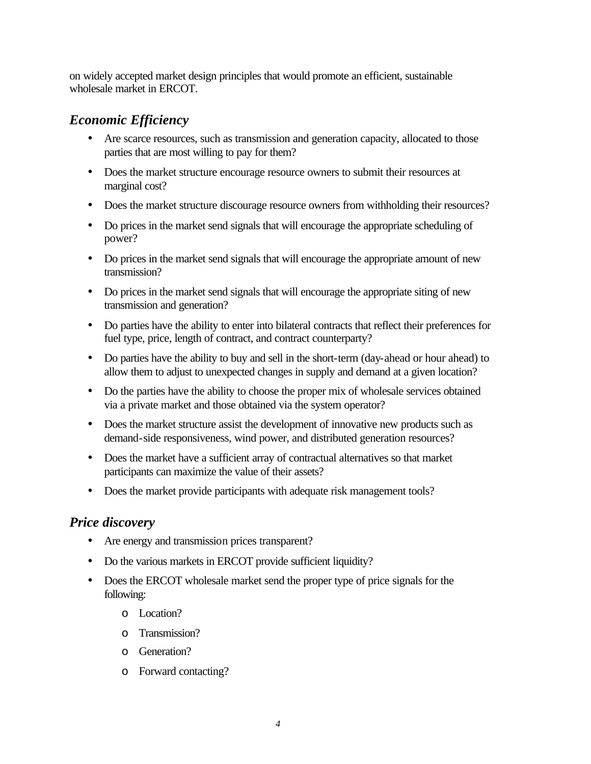on widely accepted market design principles that would promote an efficient, sustainable wholesale market in ERCOT.

## *Economic Efficiency*

- Are scarce resources, such as transmission and generation capacity, allocated to those parties that are most willing to pay for them?
- Does the market structure encourage resource owners to submit their resources at marginal cost?
- Does the market structure discourage resource owners from withholding their resources?
- Do prices in the market send signals that will encourage the appropriate scheduling of power?
- Do prices in the market send signals that will encourage the appropriate amount of new transmission?
- Do prices in the market send signals that will encourage the appropriate siting of new transmission and generation?
- Do parties have the ability to enter into bilateral contracts that reflect their preferences for fuel type, price, length of contract, and contract counterparty?
- Do parties have the ability to buy and sell in the short-term (day-ahead or hour ahead) to allow them to adjust to unexpected changes in supply and demand at a given location?
- Do the parties have the ability to choose the proper mix of wholesale services obtained via a private market and those obtained via the system operator?
- Does the market structure assist the development of innovative new products such as demand-side responsiveness, wind power, and distributed generation resources?
- Does the market have a sufficient array of contractual alternatives so that market participants can maximize the value of their assets?
- Does the market provide participants with adequate risk management tools?

### *Price discovery*

- Are energy and transmission prices transparent?
- Do the various markets in ERCOT provide sufficient liquidity?
- Does the ERCOT wholesale market send the proper type of price signals for the following:
	- o Location?
	- o Transmission?
	- o Generation?
	- o Forward contacting?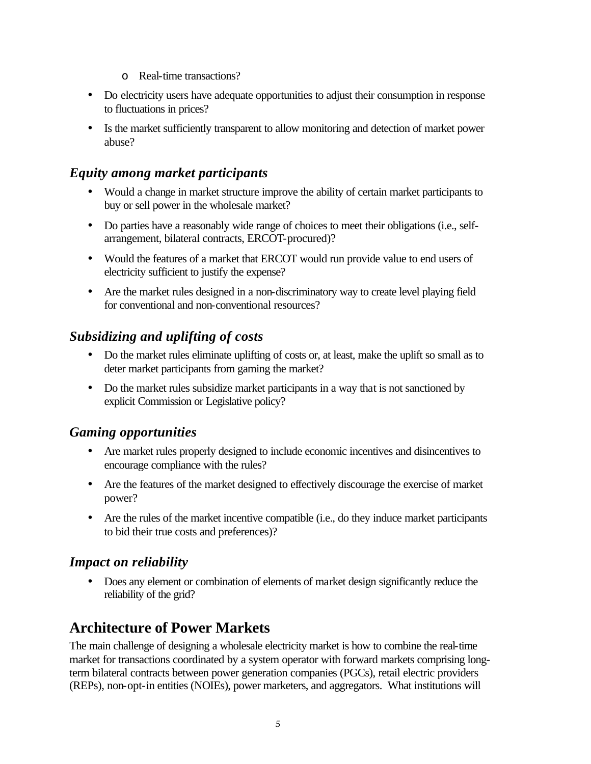- o Real-time transactions?
- Do electricity users have adequate opportunities to adjust their consumption in response to fluctuations in prices?
- Is the market sufficiently transparent to allow monitoring and detection of market power abuse?

### *Equity among market participants*

- Would a change in market structure improve the ability of certain market participants to buy or sell power in the wholesale market?
- Do parties have a reasonably wide range of choices to meet their obligations (i.e., selfarrangement, bilateral contracts, ERCOT-procured)?
- Would the features of a market that ERCOT would run provide value to end users of electricity sufficient to justify the expense?
- Are the market rules designed in a non-discriminatory way to create level playing field for conventional and non-conventional resources?

# *Subsidizing and uplifting of costs*

- Do the market rules eliminate uplifting of costs or, at least, make the uplift so small as to deter market participants from gaming the market?
- Do the market rules subsidize market participants in a way that is not sanctioned by explicit Commission or Legislative policy?

### *Gaming opportunities*

- Are market rules properly designed to include economic incentives and disincentives to encourage compliance with the rules?
- Are the features of the market designed to effectively discourage the exercise of market power?
- Are the rules of the market incentive compatible (i.e., do they induce market participants to bid their true costs and preferences)?

### *Impact on reliability*

• Does any element or combination of elements of market design significantly reduce the reliability of the grid?

# **Architecture of Power Markets**

The main challenge of designing a wholesale electricity market is how to combine the real-time market for transactions coordinated by a system operator with forward markets comprising longterm bilateral contracts between power generation companies (PGCs), retail electric providers (REPs), non-opt-in entities (NOIEs), power marketers, and aggregators. What institutions will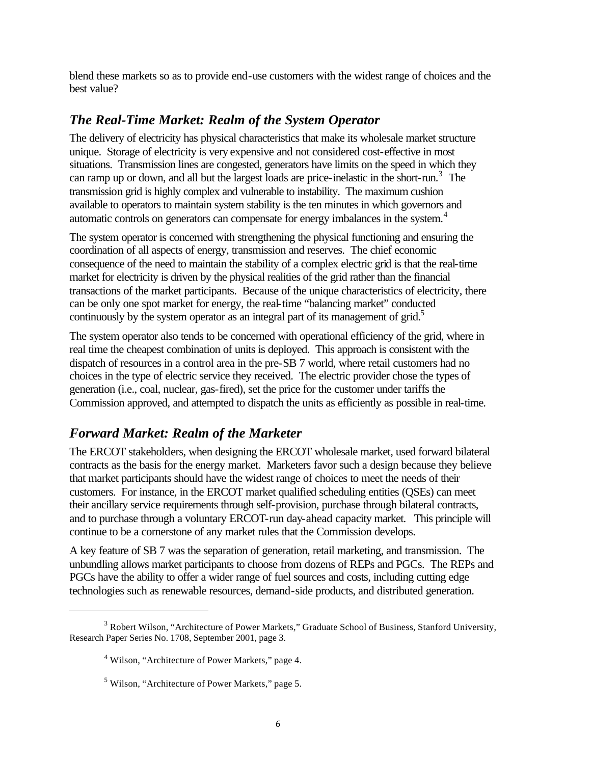blend these markets so as to provide end-use customers with the widest range of choices and the best value?

### *The Real-Time Market: Realm of the System Operator*

The delivery of electricity has physical characteristics that make its wholesale market structure unique. Storage of electricity is very expensive and not considered cost-effective in most situations. Transmission lines are congested, generators have limits on the speed in which they can ramp up or down, and all but the largest loads are price-inelastic in the short-run.<sup>3</sup> The transmission grid is highly complex and vulnerable to instability. The maximum cushion available to operators to maintain system stability is the ten minutes in which governors and automatic controls on generators can compensate for energy imbalances in the system.<sup>4</sup>

The system operator is concerned with strengthening the physical functioning and ensuring the coordination of all aspects of energy, transmission and reserves. The chief economic consequence of the need to maintain the stability of a complex electric grid is that the real-time market for electricity is driven by the physical realities of the grid rather than the financial transactions of the market participants. Because of the unique characteristics of electricity, there can be only one spot market for energy, the real-time "balancing market" conducted continuously by the system operator as an integral part of its management of grid.<sup>5</sup>

The system operator also tends to be concerned with operational efficiency of the grid, where in real time the cheapest combination of units is deployed. This approach is consistent with the dispatch of resources in a control area in the pre-SB 7 world, where retail customers had no choices in the type of electric service they received. The electric provider chose the types of generation (i.e., coal, nuclear, gas-fired), set the price for the customer under tariffs the Commission approved, and attempted to dispatch the units as efficiently as possible in real-time.

# *Forward Market: Realm of the Marketer*

The ERCOT stakeholders, when designing the ERCOT wholesale market, used forward bilateral contracts as the basis for the energy market. Marketers favor such a design because they believe that market participants should have the widest range of choices to meet the needs of their customers. For instance, in the ERCOT market qualified scheduling entities (QSEs) can meet their ancillary service requirements through self-provision, purchase through bilateral contracts, and to purchase through a voluntary ERCOT-run day-ahead capacity market. This principle will continue to be a cornerstone of any market rules that the Commission develops.

A key feature of SB 7 was the separation of generation, retail marketing, and transmission. The unbundling allows market participants to choose from dozens of REPs and PGCs. The REPs and PGCs have the ability to offer a wider range of fuel sources and costs, including cutting edge technologies such as renewable resources, demand-side products, and distributed generation.

l

 $3$  Robert Wilson, "Architecture of Power Markets," Graduate School of Business, Stanford University, Research Paper Series No. 1708, September 2001, page 3.

<sup>&</sup>lt;sup>4</sup> Wilson, "Architecture of Power Markets," page 4.

<sup>&</sup>lt;sup>5</sup> Wilson, "Architecture of Power Markets," page 5.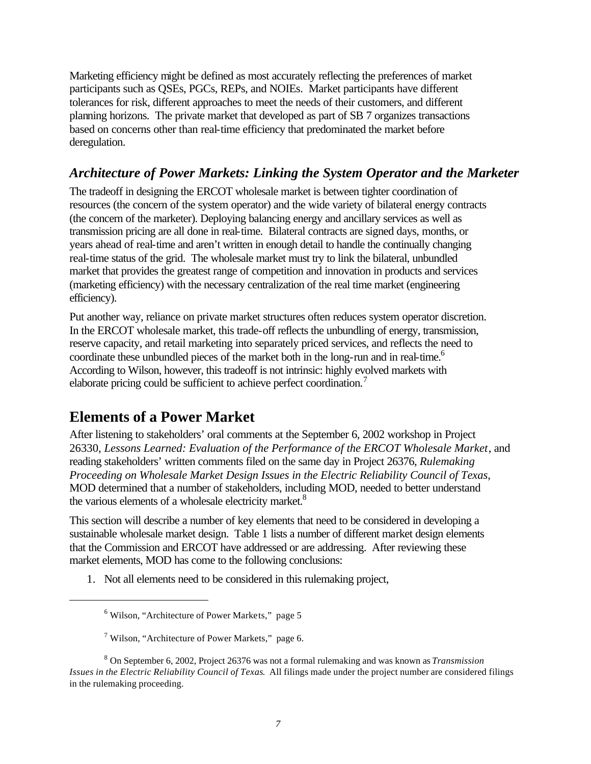Marketing efficiency might be defined as most accurately reflecting the preferences of market participants such as QSEs, PGCs, REPs, and NOIEs. Market participants have different tolerances for risk, different approaches to meet the needs of their customers, and different planning horizons. The private market that developed as part of SB 7 organizes transactions based on concerns other than real-time efficiency that predominated the market before deregulation.

### *Architecture of Power Markets: Linking the System Operator and the Marketer*

The tradeoff in designing the ERCOT wholesale market is between tighter coordination of resources (the concern of the system operator) and the wide variety of bilateral energy contracts (the concern of the marketer). Deploying balancing energy and ancillary services as well as transmission pricing are all done in real-time. Bilateral contracts are signed days, months, or years ahead of real-time and aren't written in enough detail to handle the continually changing real-time status of the grid. The wholesale market must try to link the bilateral, unbundled market that provides the greatest range of competition and innovation in products and services (marketing efficiency) with the necessary centralization of the real time market (engineering efficiency).

Put another way, reliance on private market structures often reduces system operator discretion. In the ERCOT wholesale market, this trade-off reflects the unbundling of energy, transmission, reserve capacity, and retail marketing into separately priced services, and reflects the need to coordinate these unbundled pieces of the market both in the long-run and in real-time.<sup>6</sup> According to Wilson, however, this tradeoff is not intrinsic: highly evolved markets with elaborate pricing could be sufficient to achieve perfect coordination.<sup>7</sup>

# **Elements of a Power Market**

l

After listening to stakeholders' oral comments at the September 6, 2002 workshop in Project 26330, *Lessons Learned: Evaluation of the Performance of the ERCOT Wholesale Market*, and reading stakeholders' written comments filed on the same day in Project 26376, *Rulemaking Proceeding on Wholesale Market Design Issues in the Electric Reliability Council of Texas*, MOD determined that a number of stakeholders, including MOD, needed to better understand the various elements of a wholesale electricity market.<sup>8</sup>

This section will describe a number of key elements that need to be considered in developing a sustainable wholesale market design. Table 1 lists a number of different market design elements that the Commission and ERCOT have addressed or are addressing. After reviewing these market elements, MOD has come to the following conclusions:

1. Not all elements need to be considered in this rulemaking project,

<sup>&</sup>lt;sup>6</sup> Wilson, "Architecture of Power Markets," page 5

<sup>&</sup>lt;sup>7</sup> Wilson, "Architecture of Power Markets," page 6.

<sup>8</sup> On September 6, 2002, Project 26376 was not a formal rulemaking and was known as *Transmission Issues in the Electric Reliability Council of Texas*. All filings made under the project number are considered filings in the rulemaking proceeding.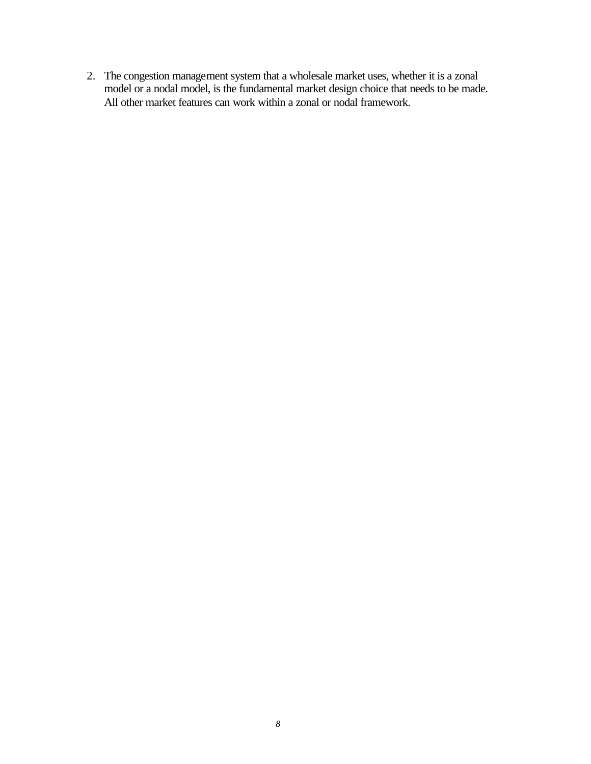2. The congestion management system that a wholesale market uses, whether it is a zonal model or a nodal model, is the fundamental market design choice that needs to be made. All other market features can work within a zonal or nodal framework.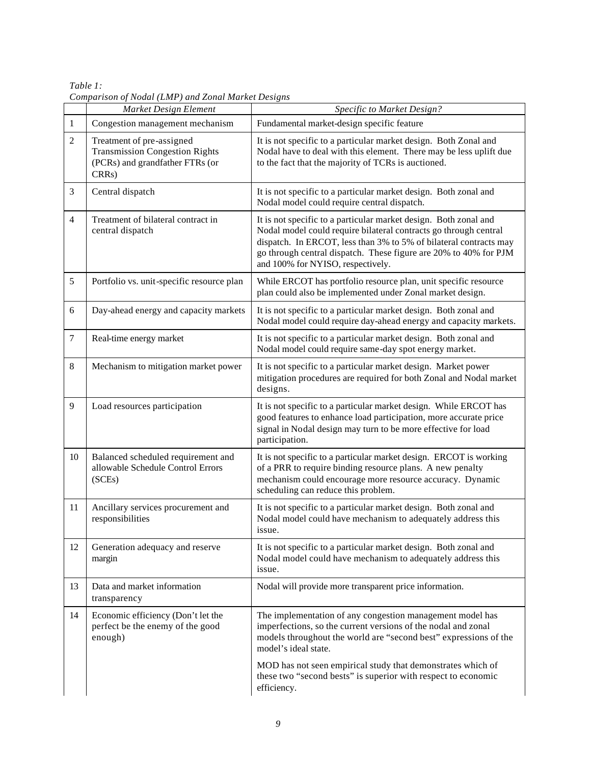*Table 1: Comparison of Nodal (LMP) and Zonal Market Designs*

|                  | Market Design Element                                                                                          | Specific to Market Design?                                                                                                                                                                                                                                                                                         |
|------------------|----------------------------------------------------------------------------------------------------------------|--------------------------------------------------------------------------------------------------------------------------------------------------------------------------------------------------------------------------------------------------------------------------------------------------------------------|
| $\mathbf{1}$     | Congestion management mechanism                                                                                | Fundamental market-design specific feature                                                                                                                                                                                                                                                                         |
| $\overline{c}$   | Treatment of pre-assigned<br><b>Transmission Congestion Rights</b><br>(PCRs) and grandfather FTRs (or<br>CRRs) | It is not specific to a particular market design. Both Zonal and<br>Nodal have to deal with this element. There may be less uplift due<br>to the fact that the majority of TCRs is auctioned.                                                                                                                      |
| 3                | Central dispatch                                                                                               | It is not specific to a particular market design. Both zonal and<br>Nodal model could require central dispatch.                                                                                                                                                                                                    |
| 4                | Treatment of bilateral contract in<br>central dispatch                                                         | It is not specific to a particular market design. Both zonal and<br>Nodal model could require bilateral contracts go through central<br>dispatch. In ERCOT, less than 3% to 5% of bilateral contracts may<br>go through central dispatch. These figure are 20% to 40% for PJM<br>and 100% for NYISO, respectively. |
| 5                | Portfolio vs. unit-specific resource plan                                                                      | While ERCOT has portfolio resource plan, unit specific resource<br>plan could also be implemented under Zonal market design.                                                                                                                                                                                       |
| 6                | Day-ahead energy and capacity markets                                                                          | It is not specific to a particular market design. Both zonal and<br>Nodal model could require day-ahead energy and capacity markets.                                                                                                                                                                               |
| $\boldsymbol{7}$ | Real-time energy market                                                                                        | It is not specific to a particular market design. Both zonal and<br>Nodal model could require same-day spot energy market.                                                                                                                                                                                         |
| 8                | Mechanism to mitigation market power                                                                           | It is not specific to a particular market design. Market power<br>mitigation procedures are required for both Zonal and Nodal market<br>designs.                                                                                                                                                                   |
| 9                | Load resources participation                                                                                   | It is not specific to a particular market design. While ERCOT has<br>good features to enhance load participation, more accurate price<br>signal in Nodal design may turn to be more effective for load<br>participation.                                                                                           |
| 10               | Balanced scheduled requirement and<br>allowable Schedule Control Errors<br>(SCEs)                              | It is not specific to a particular market design. ERCOT is working<br>of a PRR to require binding resource plans. A new penalty<br>mechanism could encourage more resource accuracy. Dynamic<br>scheduling can reduce this problem.                                                                                |
| 11               | Ancillary services procurement and<br>responsibilities                                                         | It is not specific to a particular market design. Both zonal and<br>Nodal model could have mechanism to adequately address this<br>issue.                                                                                                                                                                          |
| 12               | Generation adequacy and reserve<br>margin                                                                      | It is not specific to a particular market design. Both zonal and<br>Nodal model could have mechanism to adequately address this<br>issue.                                                                                                                                                                          |
| 13               | Data and market information<br>transparency                                                                    | Nodal will provide more transparent price information.                                                                                                                                                                                                                                                             |
| 14               | Economic efficiency (Don't let the<br>perfect be the enemy of the good<br>enough)                              | The implementation of any congestion management model has<br>imperfections, so the current versions of the nodal and zonal<br>models throughout the world are "second best" expressions of the<br>model's ideal state.                                                                                             |
|                  |                                                                                                                | MOD has not seen empirical study that demonstrates which of<br>these two "second bests" is superior with respect to economic<br>efficiency.                                                                                                                                                                        |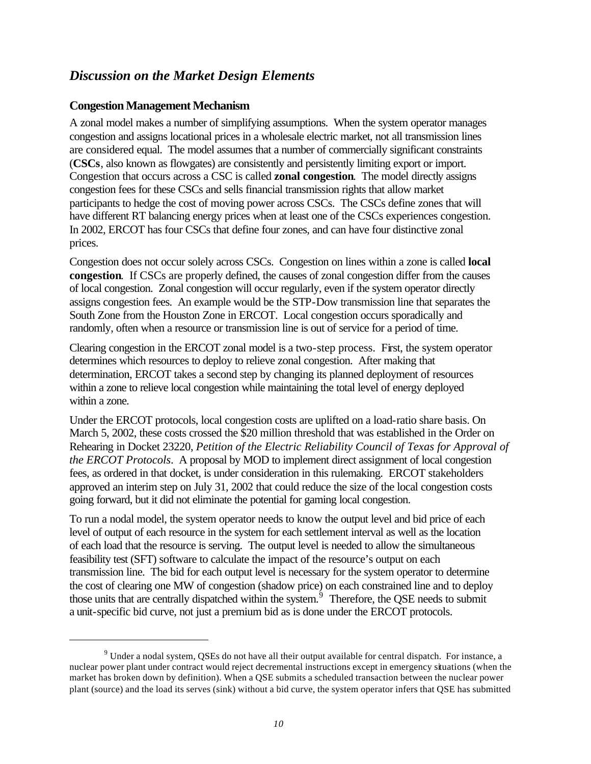# *Discussion on the Market Design Elements*

#### **Congestion Management Mechanism**

l

A zonal model makes a number of simplifying assumptions. When the system operator manages congestion and assigns locational prices in a wholesale electric market, not all transmission lines are considered equal. The model assumes that a number of commercially significant constraints (**CSCs**, also known as flowgates) are consistently and persistently limiting export or import. Congestion that occurs across a CSC is called **zonal congestion**. The model directly assigns congestion fees for these CSCs and sells financial transmission rights that allow market participants to hedge the cost of moving power across CSCs. The CSCs define zones that will have different RT balancing energy prices when at least one of the CSCs experiences congestion. In 2002, ERCOT has four CSCs that define four zones, and can have four distinctive zonal prices.

Congestion does not occur solely across CSCs. Congestion on lines within a zone is called **local congestion**. If CSCs are properly defined, the causes of zonal congestion differ from the causes of local congestion. Zonal congestion will occur regularly, even if the system operator directly assigns congestion fees. An example would be the STP-Dow transmission line that separates the South Zone from the Houston Zone in ERCOT. Local congestion occurs sporadically and randomly, often when a resource or transmission line is out of service for a period of time.

Clearing congestion in the ERCOT zonal model is a two-step process. First, the system operator determines which resources to deploy to relieve zonal congestion. After making that determination, ERCOT takes a second step by changing its planned deployment of resources within a zone to relieve local congestion while maintaining the total level of energy deployed within a zone.

Under the ERCOT protocols, local congestion costs are uplifted on a load-ratio share basis. On March 5, 2002, these costs crossed the \$20 million threshold that was established in the Order on Rehearing in Docket 23220, *Petition of the Electric Reliability Council of Texas for Approval of the ERCOT Protocols*. A proposal by MOD to implement direct assignment of local congestion fees, as ordered in that docket, is under consideration in this rulemaking. ERCOT stakeholders approved an interim step on July 31, 2002 that could reduce the size of the local congestion costs going forward, but it did not eliminate the potential for gaming local congestion.

To run a nodal model, the system operator needs to know the output level and bid price of each level of output of each resource in the system for each settlement interval as well as the location of each load that the resource is serving. The output level is needed to allow the simultaneous feasibility test (SFT) software to calculate the impact of the resource's output on each transmission line. The bid for each output level is necessary for the system operator to determine the cost of clearing one MW of congestion (shadow price) on each constrained line and to deploy those units that are centrally dispatched within the system.<sup>9</sup> Therefore, the QSE needs to submit a unit-specific bid curve, not just a premium bid as is done under the ERCOT protocols.

 $9$  Under a nodal system, QSEs do not have all their output available for central dispatch. For instance, a nuclear power plant under contract would reject decremental instructions except in emergency situations (when the market has broken down by definition). When a QSE submits a scheduled transaction between the nuclear power plant (source) and the load its serves (sink) without a bid curve, the system operator infers that QSE has submitted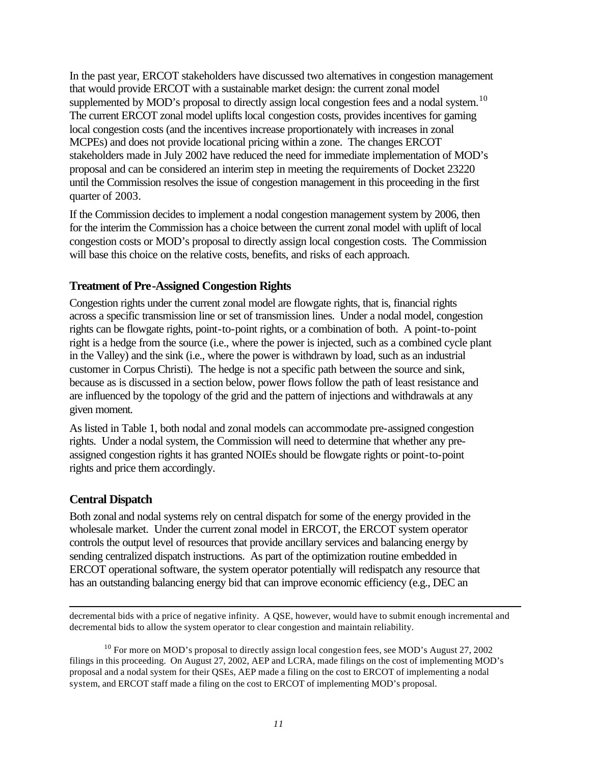In the past year, ERCOT stakeholders have discussed two alternatives in congestion management that would provide ERCOT with a sustainable market design: the current zonal model supplemented by MOD's proposal to directly assign local congestion fees and a nodal system.<sup>10</sup> The current ERCOT zonal model uplifts local congestion costs, provides incentives for gaming local congestion costs (and the incentives increase proportionately with increases in zonal MCPEs) and does not provide locational pricing within a zone. The changes ERCOT stakeholders made in July 2002 have reduced the need for immediate implementation of MOD's proposal and can be considered an interim step in meeting the requirements of Docket 23220 until the Commission resolves the issue of congestion management in this proceeding in the first quarter of 2003.

If the Commission decides to implement a nodal congestion management system by 2006, then for the interim the Commission has a choice between the current zonal model with uplift of local congestion costs or MOD's proposal to directly assign local congestion costs. The Commission will base this choice on the relative costs, benefits, and risks of each approach.

#### **Treatment of Pre-Assigned Congestion Rights**

Congestion rights under the current zonal model are flowgate rights, that is, financial rights across a specific transmission line or set of transmission lines. Under a nodal model, congestion rights can be flowgate rights, point-to-point rights, or a combination of both. A point-to-point right is a hedge from the source (i.e., where the power is injected, such as a combined cycle plant in the Valley) and the sink (i.e., where the power is withdrawn by load, such as an industrial customer in Corpus Christi). The hedge is not a specific path between the source and sink, because as is discussed in a section below, power flows follow the path of least resistance and are influenced by the topology of the grid and the pattern of injections and withdrawals at any given moment.

As listed in Table 1, both nodal and zonal models can accommodate pre-assigned congestion rights. Under a nodal system, the Commission will need to determine that whether any preassigned congestion rights it has granted NOIEs should be flowgate rights or point-to-point rights and price them accordingly.

#### **Central Dispatch**

Both zonal and nodal systems rely on central dispatch for some of the energy provided in the wholesale market. Under the current zonal model in ERCOT, the ERCOT system operator controls the output level of resources that provide ancillary services and balancing energy by sending centralized dispatch instructions. As part of the optimization routine embedded in ERCOT operational software, the system operator potentially will redispatch any resource that has an outstanding balancing energy bid that can improve economic efficiency (e.g., DEC an

l decremental bids with a price of negative infinity. A QSE, however, would have to submit enough incremental and decremental bids to allow the system operator to clear congestion and maintain reliability.

 $10$  For more on MOD's proposal to directly assign local congestion fees, see MOD's August 27, 2002 filings in this proceeding. On August 27, 2002, AEP and LCRA, made filings on the cost of implementing MOD's proposal and a nodal system for their QSEs, AEP made a filing on the cost to ERCOT of implementing a nodal system, and ERCOT staff made a filing on the cost to ERCOT of implementing MOD's proposal.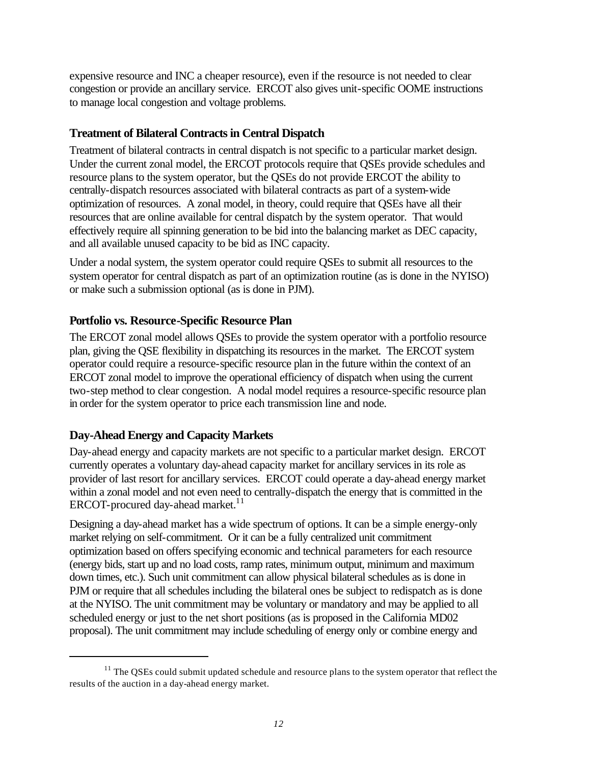expensive resource and INC a cheaper resource), even if the resource is not needed to clear congestion or provide an ancillary service. ERCOT also gives unit-specific OOME instructions to manage local congestion and voltage problems.

#### **Treatment of Bilateral Contracts in Central Dispatch**

Treatment of bilateral contracts in central dispatch is not specific to a particular market design. Under the current zonal model, the ERCOT protocols require that QSEs provide schedules and resource plans to the system operator, but the QSEs do not provide ERCOT the ability to centrally-dispatch resources associated with bilateral contracts as part of a system-wide optimization of resources. A zonal model, in theory, could require that QSEs have all their resources that are online available for central dispatch by the system operator. That would effectively require all spinning generation to be bid into the balancing market as DEC capacity, and all available unused capacity to be bid as INC capacity.

Under a nodal system, the system operator could require QSEs to submit all resources to the system operator for central dispatch as part of an optimization routine (as is done in the NYISO) or make such a submission optional (as is done in PJM).

#### **Portfolio vs. Resource-Specific Resource Plan**

The ERCOT zonal model allows QSEs to provide the system operator with a portfolio resource plan, giving the QSE flexibility in dispatching its resources in the market. The ERCOT system operator could require a resource-specific resource plan in the future within the context of an ERCOT zonal model to improve the operational efficiency of dispatch when using the current two-step method to clear congestion. A nodal model requires a resource-specific resource plan in order for the system operator to price each transmission line and node.

#### **Day-Ahead Energy and Capacity Markets**

l

Day-ahead energy and capacity markets are not specific to a particular market design. ERCOT currently operates a voluntary day-ahead capacity market for ancillary services in its role as provider of last resort for ancillary services. ERCOT could operate a day-ahead energy market within a zonal model and not even need to centrally-dispatch the energy that is committed in the ERCOT-procured day-ahead market.<sup>11</sup>

Designing a day-ahead market has a wide spectrum of options. It can be a simple energy-only market relying on self-commitment. Or it can be a fully centralized unit commitment optimization based on offers specifying economic and technical parameters for each resource (energy bids, start up and no load costs, ramp rates, minimum output, minimum and maximum down times, etc.). Such unit commitment can allow physical bilateral schedules as is done in PJM or require that all schedules including the bilateral ones be subject to redispatch as is done at the NYISO. The unit commitment may be voluntary or mandatory and may be applied to all scheduled energy or just to the net short positions (as is proposed in the California MD02 proposal). The unit commitment may include scheduling of energy only or combine energy and

 $11$  The QSEs could submit updated schedule and resource plans to the system operator that reflect the results of the auction in a day-ahead energy market.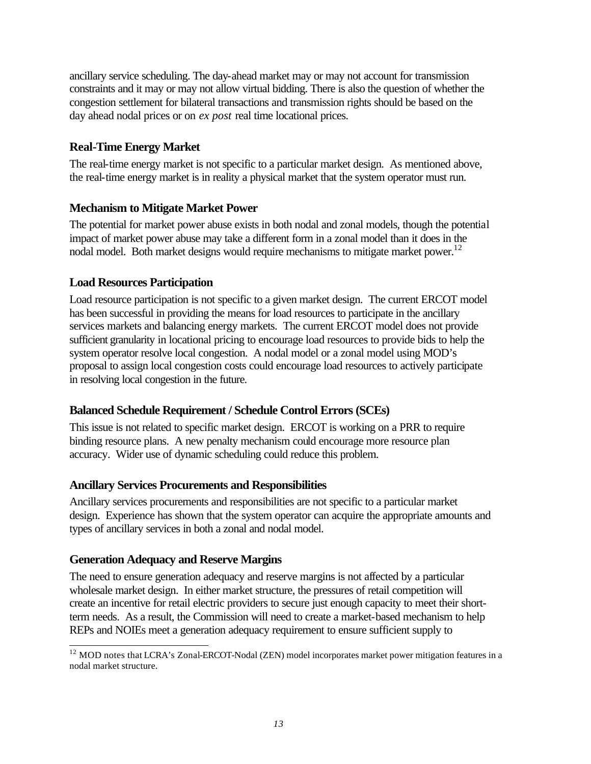ancillary service scheduling. The day-ahead market may or may not account for transmission constraints and it may or may not allow virtual bidding. There is also the question of whether the congestion settlement for bilateral transactions and transmission rights should be based on the day ahead nodal prices or on *ex post* real time locational prices.

#### **Real-Time Energy Market**

The real-time energy market is not specific to a particular market design. As mentioned above, the real-time energy market is in reality a physical market that the system operator must run.

#### **Mechanism to Mitigate Market Power**

The potential for market power abuse exists in both nodal and zonal models, though the potential impact of market power abuse may take a different form in a zonal model than it does in the nodal model. Both market designs would require mechanisms to mitigate market power.<sup>12</sup>

#### **Load Resources Participation**

Load resource participation is not specific to a given market design. The current ERCOT model has been successful in providing the means for load resources to participate in the ancillary services markets and balancing energy markets. The current ERCOT model does not provide sufficient granularity in locational pricing to encourage load resources to provide bids to help the system operator resolve local congestion. A nodal model or a zonal model using MOD's proposal to assign local congestion costs could encourage load resources to actively participate in resolving local congestion in the future.

#### **Balanced Schedule Requirement / Schedule Control Errors (SCEs)**

This issue is not related to specific market design. ERCOT is working on a PRR to require binding resource plans. A new penalty mechanism could encourage more resource plan accuracy. Wider use of dynamic scheduling could reduce this problem.

#### **Ancillary Services Procurements and Responsibilities**

Ancillary services procurements and responsibilities are not specific to a particular market design. Experience has shown that the system operator can acquire the appropriate amounts and types of ancillary services in both a zonal and nodal model.

#### **Generation Adequacy and Reserve Margins**

l

The need to ensure generation adequacy and reserve margins is not affected by a particular wholesale market design. In either market structure, the pressures of retail competition will create an incentive for retail electric providers to secure just enough capacity to meet their shortterm needs. As a result, the Commission will need to create a market-based mechanism to help REPs and NOIEs meet a generation adequacy requirement to ensure sufficient supply to

 $12$  MOD notes that LCRA's Zonal-ERCOT-Nodal (ZEN) model incorporates market power mitigation features in a nodal market structure.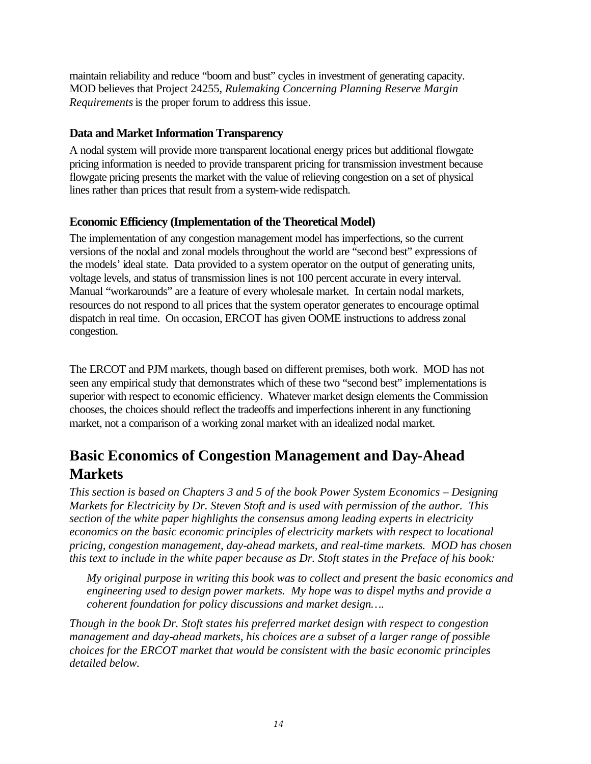maintain reliability and reduce "boom and bust" cycles in investment of generating capacity. MOD believes that Project 24255, *Rulemaking Concerning Planning Reserve Margin Requirements* is the proper forum to address this issue*.*

#### **Data and Market Information Transparency**

A nodal system will provide more transparent locational energy prices but additional flowgate pricing information is needed to provide transparent pricing for transmission investment because flowgate pricing presents the market with the value of relieving congestion on a set of physical lines rather than prices that result from a system-wide redispatch.

### **Economic Efficiency (Implementation of the Theoretical Model)**

The implementation of any congestion management model has imperfections, so the current versions of the nodal and zonal models throughout the world are "second best" expressions of the models' ideal state. Data provided to a system operator on the output of generating units, voltage levels, and status of transmission lines is not 100 percent accurate in every interval. Manual "workarounds" are a feature of every wholesale market. In certain nodal markets, resources do not respond to all prices that the system operator generates to encourage optimal dispatch in real time. On occasion, ERCOT has given OOME instructions to address zonal congestion.

The ERCOT and PJM markets, though based on different premises, both work. MOD has not seen any empirical study that demonstrates which of these two "second best" implementations is superior with respect to economic efficiency. Whatever market design elements the Commission chooses, the choices should reflect the tradeoffs and imperfections inherent in any functioning market, not a comparison of a working zonal market with an idealized nodal market.

# **Basic Economics of Congestion Management and Day-Ahead Markets**

*This section is based on Chapters 3 and 5 of the book Power System Economics – Designing Markets for Electricity by Dr. Steven Stoft and is used with permission of the author. This section of the white paper highlights the consensus among leading experts in electricity economics on the basic economic principles of electricity markets with respect to locational pricing, congestion management, day-ahead markets, and real-time markets. MOD has chosen this text to include in the white paper because as Dr. Stoft states in the Preface of his book:*

*My original purpose in writing this book was to collect and present the basic economics and engineering used to design power markets. My hope was to dispel myths and provide a coherent foundation for policy discussions and market design….*

*Though in the book Dr. Stoft states his preferred market design with respect to congestion management and day-ahead markets, his choices are a subset of a larger range of possible choices for the ERCOT market that would be consistent with the basic economic principles detailed below.*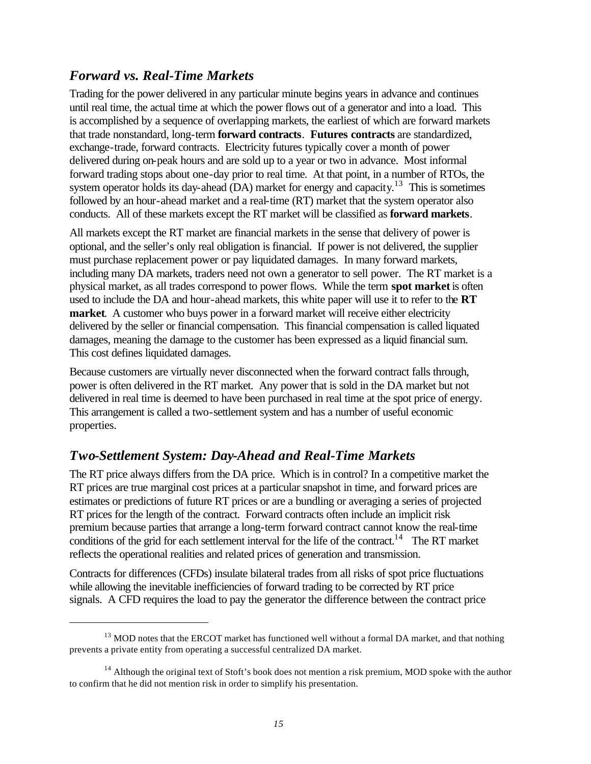# *Forward vs. Real-Time Markets*

l

Trading for the power delivered in any particular minute begins years in advance and continues until real time, the actual time at which the power flows out of a generator and into a load. This is accomplished by a sequence of overlapping markets, the earliest of which are forward markets that trade nonstandard, long-term **forward contracts**. **Futures contracts** are standardized, exchange-trade, forward contracts. Electricity futures typically cover a month of power delivered during on-peak hours and are sold up to a year or two in advance. Most informal forward trading stops about one-day prior to real time. At that point, in a number of RTOs, the system operator holds its day-ahead  $(DA)$  market for energy and capacity.<sup>13</sup> This is sometimes followed by an hour-ahead market and a real-time (RT) market that the system operator also conducts. All of these markets except the RT market will be classified as **forward markets**.

All markets except the RT market are financial markets in the sense that delivery of power is optional, and the seller's only real obligation is financial. If power is not delivered, the supplier must purchase replacement power or pay liquidated damages. In many forward markets, including many DA markets, traders need not own a generator to sell power. The RT market is a physical market, as all trades correspond to power flows. While the term **spot market** is often used to include the DA and hour-ahead markets, this white paper will use it to refer to the **RT market**. A customer who buys power in a forward market will receive either electricity delivered by the seller or financial compensation. This financial compensation is called liquated damages, meaning the damage to the customer has been expressed as a liquid financial sum. This cost defines liquidated damages.

Because customers are virtually never disconnected when the forward contract falls through, power is often delivered in the RT market. Any power that is sold in the DA market but not delivered in real time is deemed to have been purchased in real time at the spot price of energy. This arrangement is called a two-settlement system and has a number of useful economic properties.

# *Two-Settlement System: Day-Ahead and Real-Time Markets*

The RT price always differs from the DA price. Which is in control? In a competitive market the RT prices are true marginal cost prices at a particular snapshot in time, and forward prices are estimates or predictions of future RT prices or are a bundling or averaging a series of projected RT prices for the length of the contract. Forward contracts often include an implicit risk premium because parties that arrange a long-term forward contract cannot know the real-time conditions of the grid for each settlement interval for the life of the contract.<sup>14</sup> The RT market reflects the operational realities and related prices of generation and transmission.

Contracts for differences (CFDs) insulate bilateral trades from all risks of spot price fluctuations while allowing the inevitable inefficiencies of forward trading to be corrected by RT price signals. A CFD requires the load to pay the generator the difference between the contract price

 $13$  MOD notes that the ERCOT market has functioned well without a formal DA market, and that nothing prevents a private entity from operating a successful centralized DA market.

<sup>&</sup>lt;sup>14</sup> Although the original text of Stoft's book does not mention a risk premium, MOD spoke with the author to confirm that he did not mention risk in order to simplify his presentation.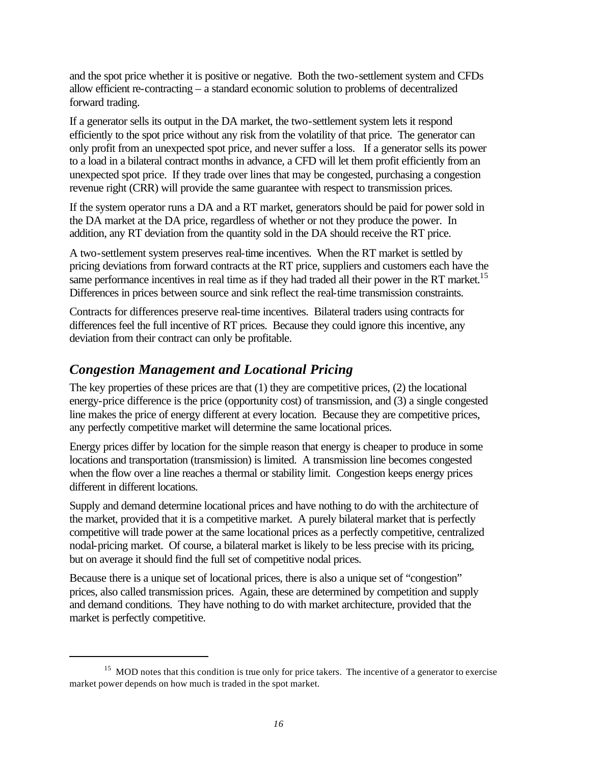and the spot price whether it is positive or negative. Both the two-settlement system and CFDs allow efficient re-contracting – a standard economic solution to problems of decentralized forward trading.

If a generator sells its output in the DA market, the two-settlement system lets it respond efficiently to the spot price without any risk from the volatility of that price. The generator can only profit from an unexpected spot price, and never suffer a loss. If a generator sells its power to a load in a bilateral contract months in advance, a CFD will let them profit efficiently from an unexpected spot price. If they trade over lines that may be congested, purchasing a congestion revenue right (CRR) will provide the same guarantee with respect to transmission prices.

If the system operator runs a DA and a RT market, generators should be paid for power sold in the DA market at the DA price, regardless of whether or not they produce the power. In addition, any RT deviation from the quantity sold in the DA should receive the RT price.

A two-settlement system preserves real-time incentives. When the RT market is settled by pricing deviations from forward contracts at the RT price, suppliers and customers each have the same performance incentives in real time as if they had traded all their power in the RT market.<sup>15</sup> Differences in prices between source and sink reflect the real-time transmission constraints.

Contracts for differences preserve real-time incentives. Bilateral traders using contracts for differences feel the full incentive of RT prices. Because they could ignore this incentive, any deviation from their contract can only be profitable.

# *Congestion Management and Locational Pricing*

l

The key properties of these prices are that  $(1)$  they are competitive prices,  $(2)$  the locational energy-price difference is the price (opportunity cost) of transmission, and (3) a single congested line makes the price of energy different at every location. Because they are competitive prices, any perfectly competitive market will determine the same locational prices.

Energy prices differ by location for the simple reason that energy is cheaper to produce in some locations and transportation (transmission) is limited. A transmission line becomes congested when the flow over a line reaches a thermal or stability limit. Congestion keeps energy prices different in different locations.

Supply and demand determine locational prices and have nothing to do with the architecture of the market, provided that it is a competitive market. A purely bilateral market that is perfectly competitive will trade power at the same locational prices as a perfectly competitive, centralized nodal-pricing market. Of course, a bilateral market is likely to be less precise with its pricing, but on average it should find the full set of competitive nodal prices.

Because there is a unique set of locational prices, there is also a unique set of "congestion" prices, also called transmission prices. Again, these are determined by competition and supply and demand conditions. They have nothing to do with market architecture, provided that the market is perfectly competitive.

<sup>&</sup>lt;sup>15</sup> MOD notes that this condition is true only for price takers. The incentive of a generator to exercise market power depends on how much is traded in the spot market.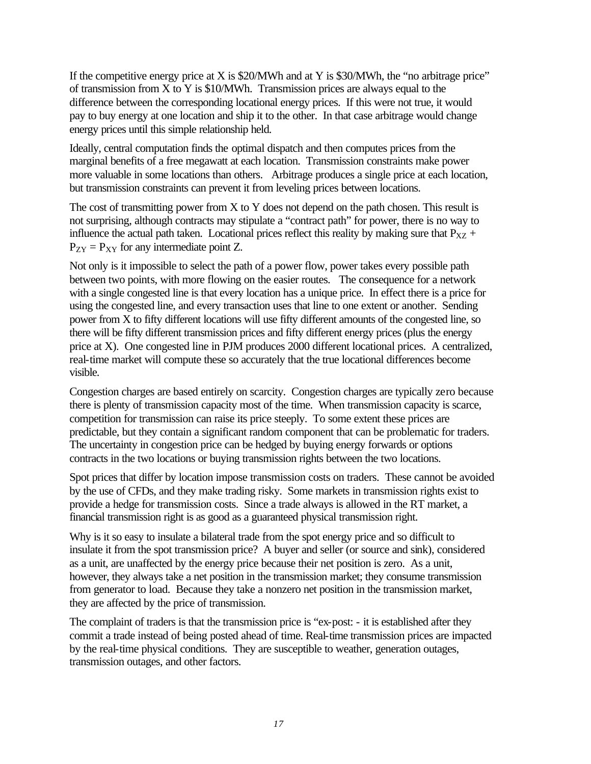If the competitive energy price at X is  $$20/MWh$  and at Y is  $$30/MWh$ , the "no arbitrage price" of transmission from X to Y is \$10/MWh. Transmission prices are always equal to the difference between the corresponding locational energy prices. If this were not true, it would pay to buy energy at one location and ship it to the other. In that case arbitrage would change energy prices until this simple relationship held.

Ideally, central computation finds the optimal dispatch and then computes prices from the marginal benefits of a free megawatt at each location. Transmission constraints make power more valuable in some locations than others. Arbitrage produces a single price at each location, but transmission constraints can prevent it from leveling prices between locations.

The cost of transmitting power from  $X$  to  $Y$  does not depend on the path chosen. This result is not surprising, although contracts may stipulate a "contract path" for power, there is no way to influence the actual path taken. Locational prices reflect this reality by making sure that  $P_{XZ}$  +  $P_{ZY} = P_{XY}$  for any intermediate point Z.

Not only is it impossible to select the path of a power flow, power takes every possible path between two points, with more flowing on the easier routes. The consequence for a network with a single congested line is that every location has a unique price. In effect there is a price for using the congested line, and every transaction uses that line to one extent or another. Sending power from X to fifty different locations will use fifty different amounts of the congested line, so there will be fifty different transmission prices and fifty different energy prices (plus the energy price at X). One congested line in PJM produces 2000 different locational prices. A centralized, real-time market will compute these so accurately that the true locational differences become visible.

Congestion charges are based entirely on scarcity. Congestion charges are typically zero because there is plenty of transmission capacity most of the time. When transmission capacity is scarce, competition for transmission can raise its price steeply. To some extent these prices are predictable, but they contain a significant random component that can be problematic for traders. The uncertainty in congestion price can be hedged by buying energy forwards or options contracts in the two locations or buying transmission rights between the two locations.

Spot prices that differ by location impose transmission costs on traders. These cannot be avoided by the use of CFDs, and they make trading risky. Some markets in transmission rights exist to provide a hedge for transmission costs. Since a trade always is allowed in the RT market, a financial transmission right is as good as a guaranteed physical transmission right.

Why is it so easy to insulate a bilateral trade from the spot energy price and so difficult to insulate it from the spot transmission price? A buyer and seller (or source and sink), considered as a unit, are unaffected by the energy price because their net position is zero. As a unit, however, they always take a net position in the transmission market; they consume transmission from generator to load. Because they take a nonzero net position in the transmission market, they are affected by the price of transmission.

The complaint of traders is that the transmission price is "ex-post: - it is established after they commit a trade instead of being posted ahead of time. Real-time transmission prices are impacted by the real-time physical conditions. They are susceptible to weather, generation outages, transmission outages, and other factors.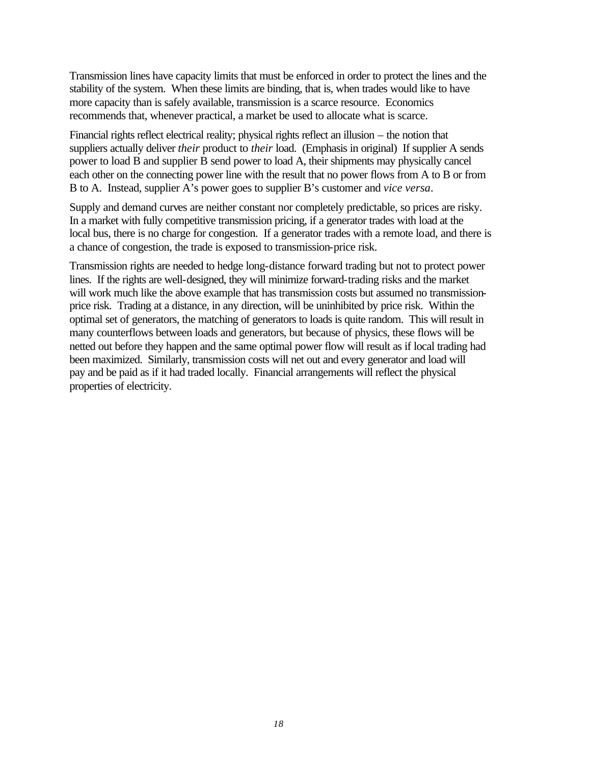Transmission lines have capacity limits that must be enforced in order to protect the lines and the stability of the system. When these limits are binding, that is, when trades would like to have more capacity than is safely available, transmission is a scarce resource. Economics recommends that, whenever practical, a market be used to allocate what is scarce.

Financial rights reflect electrical reality; physical rights reflect an illusion – the notion that suppliers actually deliver *their* product to *their* load. (Emphasis in original) If supplier A sends power to load B and supplier B send power to load A, their shipments may physically cancel each other on the connecting power line with the result that no power flows from A to B or from B to A. Instead, supplier A's power goes to supplier B's customer and *vice versa*.

Supply and demand curves are neither constant nor completely predictable, so prices are risky. In a market with fully competitive transmission pricing, if a generator trades with load at the local bus, there is no charge for congestion. If a generator trades with a remote load, and there is a chance of congestion, the trade is exposed to transmission-price risk.

Transmission rights are needed to hedge long-distance forward trading but not to protect power lines. If the rights are well-designed, they will minimize forward-trading risks and the market will work much like the above example that has transmission costs but assumed no transmissionprice risk. Trading at a distance, in any direction, will be uninhibited by price risk. Within the optimal set of generators, the matching of generators to loads is quite random. This will result in many counterflows between loads and generators, but because of physics, these flows will be netted out before they happen and the same optimal power flow will result as if local trading had been maximized. Similarly, transmission costs will net out and every generator and load will pay and be paid as if it had traded locally. Financial arrangements will reflect the physical properties of electricity.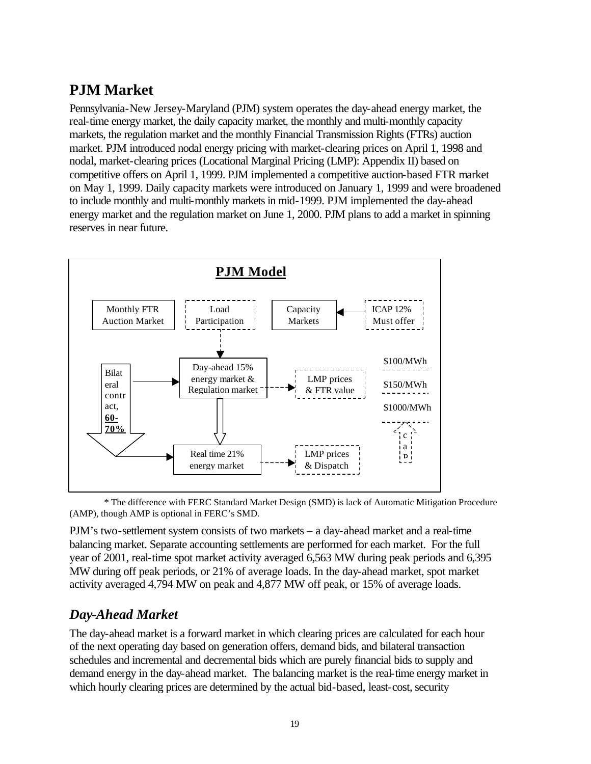# **PJM Market**

Pennsylvania-New Jersey-Maryland (PJM) system operates the day-ahead energy market, the real-time energy market, the daily capacity market, the monthly and multi-monthly capacity markets, the regulation market and the monthly Financial Transmission Rights (FTRs) auction market. PJM introduced nodal energy pricing with market-clearing prices on April 1, 1998 and nodal, market-clearing prices (Locational Marginal Pricing (LMP): Appendix II) based on competitive offers on April 1, 1999. PJM implemented a competitive auction-based FTR market on May 1, 1999. Daily capacity markets were introduced on January 1, 1999 and were broadened to include monthly and multi-monthly markets in mid-1999. PJM implemented the day-ahead energy market and the regulation market on June 1, 2000. PJM plans to add a market in spinning reserves in near future.



\* The difference with FERC Standard Market Design (SMD) is lack of Automatic Mitigation Procedure (AMP), though AMP is optional in FERC's SMD.

PJM's two-settlement system consists of two markets – a day-ahead market and a real-time balancing market. Separate accounting settlements are performed for each market. For the full year of 2001, real-time spot market activity averaged 6,563 MW during peak periods and 6,395 MW during off peak periods, or 21% of average loads. In the day-ahead market, spot market activity averaged 4,794 MW on peak and 4,877 MW off peak, or 15% of average loads.

# *Day-Ahead Market*

The day-ahead market is a forward market in which clearing prices are calculated for each hour of the next operating day based on generation offers, demand bids, and bilateral transaction schedules and incremental and decremental bids which are purely financial bids to supply and demand energy in the day-ahead market. The balancing market is the real-time energy market in which hourly clearing prices are determined by the actual bid-based, least-cost, security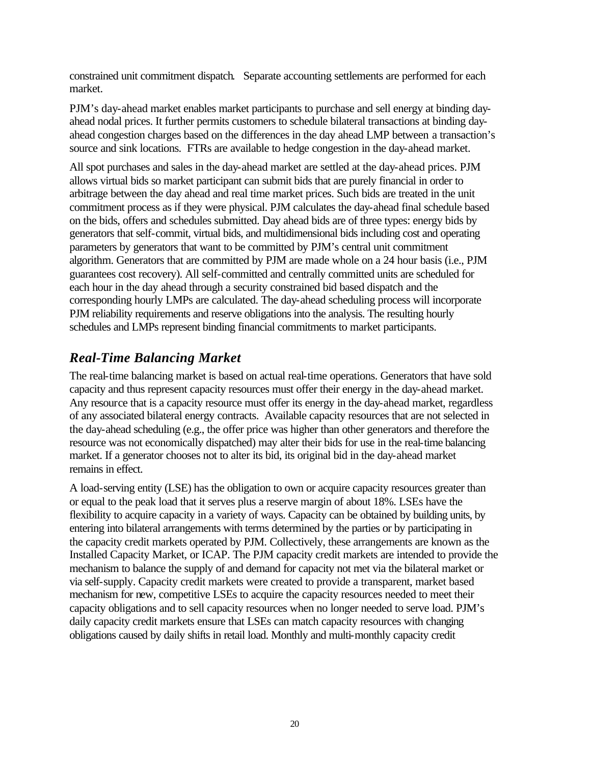constrained unit commitment dispatch. Separate accounting settlements are performed for each market.

PJM's day-ahead market enables market participants to purchase and sell energy at binding dayahead nodal prices. It further permits customers to schedule bilateral transactions at binding dayahead congestion charges based on the differences in the day ahead LMP between a transaction's source and sink locations. FTRs are available to hedge congestion in the day-ahead market.

All spot purchases and sales in the day-ahead market are settled at the day-ahead prices. PJM allows virtual bids so market participant can submit bids that are purely financial in order to arbitrage between the day ahead and real time market prices. Such bids are treated in the unit commitment process as if they were physical. PJM calculates the day-ahead final schedule based on the bids, offers and schedules submitted. Day ahead bids are of three types: energy bids by generators that self-commit, virtual bids, and multidimensional bids including cost and operating parameters by generators that want to be committed by PJM's central unit commitment algorithm. Generators that are committed by PJM are made whole on a 24 hour basis (i.e., PJM guarantees cost recovery). All self-committed and centrally committed units are scheduled for each hour in the day ahead through a security constrained bid based dispatch and the corresponding hourly LMPs are calculated. The day-ahead scheduling process will incorporate PJM reliability requirements and reserve obligations into the analysis. The resulting hourly schedules and LMPs represent binding financial commitments to market participants.

# *Real-Time Balancing Market*

The real-time balancing market is based on actual real-time operations. Generators that have sold capacity and thus represent capacity resources must offer their energy in the day-ahead market. Any resource that is a capacity resource must offer its energy in the day-ahead market, regardless of any associated bilateral energy contracts. Available capacity resources that are not selected in the day-ahead scheduling (e.g., the offer price was higher than other generators and therefore the resource was not economically dispatched) may alter their bids for use in the real-time balancing market. If a generator chooses not to alter its bid, its original bid in the day-ahead market remains in effect.

A load-serving entity (LSE) has the obligation to own or acquire capacity resources greater than or equal to the peak load that it serves plus a reserve margin of about 18%. LSEs have the flexibility to acquire capacity in a variety of ways. Capacity can be obtained by building units, by entering into bilateral arrangements with terms determined by the parties or by participating in the capacity credit markets operated by PJM. Collectively, these arrangements are known as the Installed Capacity Market, or ICAP. The PJM capacity credit markets are intended to provide the mechanism to balance the supply of and demand for capacity not met via the bilateral market or via self-supply. Capacity credit markets were created to provide a transparent, market based mechanism for new, competitive LSEs to acquire the capacity resources needed to meet their capacity obligations and to sell capacity resources when no longer needed to serve load. PJM's daily capacity credit markets ensure that LSEs can match capacity resources with changing obligations caused by daily shifts in retail load. Monthly and multi-monthly capacity credit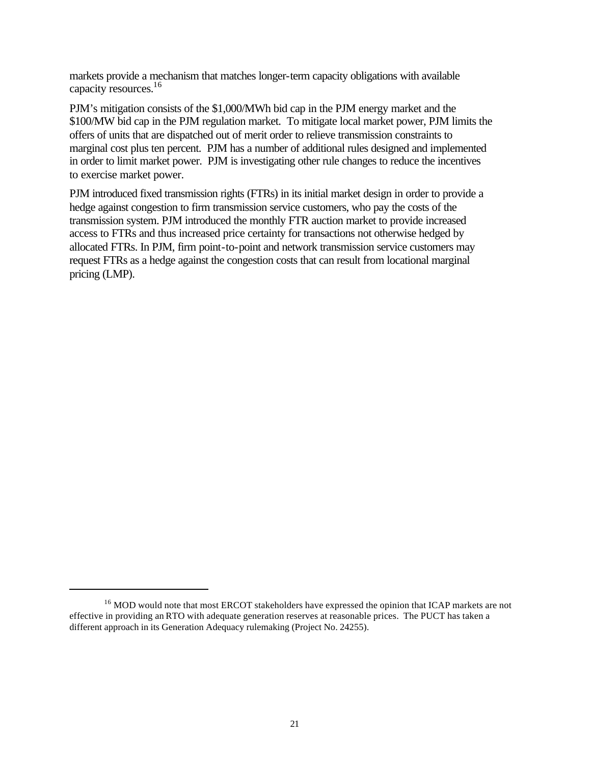markets provide a mechanism that matches longer-term capacity obligations with available capacity resources.<sup>16</sup>

PJM's mitigation consists of the \$1,000/MWh bid cap in the PJM energy market and the \$100/MW bid cap in the PJM regulation market. To mitigate local market power, PJM limits the offers of units that are dispatched out of merit order to relieve transmission constraints to marginal cost plus ten percent. PJM has a number of additional rules designed and implemented in order to limit market power. PJM is investigating other rule changes to reduce the incentives to exercise market power.

PJM introduced fixed transmission rights (FTRs) in its initial market design in order to provide a hedge against congestion to firm transmission service customers, who pay the costs of the transmission system. PJM introduced the monthly FTR auction market to provide increased access to FTRs and thus increased price certainty for transactions not otherwise hedged by allocated FTRs. In PJM, firm point-to-point and network transmission service customers may request FTRs as a hedge against the congestion costs that can result from locational marginal pricing (LMP).

l

<sup>&</sup>lt;sup>16</sup> MOD would note that most ERCOT stakeholders have expressed the opinion that ICAP markets are not effective in providing an RTO with adequate generation reserves at reasonable prices. The PUCT has taken a different approach in its Generation Adequacy rulemaking (Project No. 24255).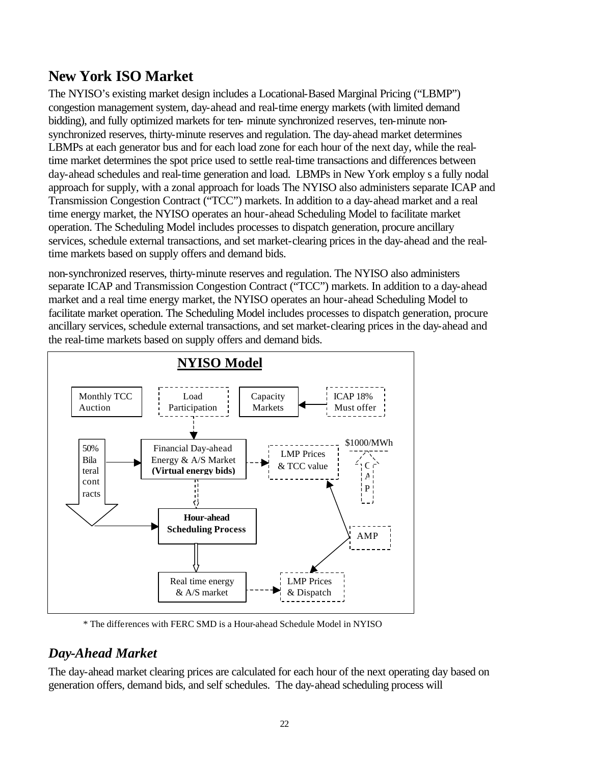# **New York ISO Market**

The NYISO's existing market design includes a Locational-Based Marginal Pricing ("LBMP") congestion management system, day-ahead and real-time energy markets (with limited demand bidding), and fully optimized markets for ten- minute synchronized reserves, ten-minute nonsynchronized reserves, thirty-minute reserves and regulation. The day-ahead market determines LBMPs at each generator bus and for each load zone for each hour of the next day, while the realtime market determines the spot price used to settle real-time transactions and differences between day-ahead schedules and real-time generation and load. LBMPs in New York employ s a fully nodal approach for supply, with a zonal approach for loads The NYISO also administers separate ICAP and Transmission Congestion Contract ("TCC") markets. In addition to a day-ahead market and a real time energy market, the NYISO operates an hour-ahead Scheduling Model to facilitate market operation. The Scheduling Model includes processes to dispatch generation, procure ancillary services, schedule external transactions, and set market-clearing prices in the day-ahead and the realtime markets based on supply offers and demand bids.

non-synchronized reserves, thirty-minute reserves and regulation. The NYISO also administers separate ICAP and Transmission Congestion Contract ("TCC") markets. In addition to a day-ahead market and a real time energy market, the NYISO operates an hour-ahead Scheduling Model to facilitate market operation. The Scheduling Model includes processes to dispatch generation, procure ancillary services, schedule external transactions, and set market-clearing prices in the day-ahead and the real-time markets based on supply offers and demand bids.



\* The differences with FERC SMD is a Hour-ahead Schedule Model in NYISO

# *Day-Ahead Market*

The day-ahead market clearing prices are calculated for each hour of the next operating day based on generation offers, demand bids, and self schedules. The day-ahead scheduling process will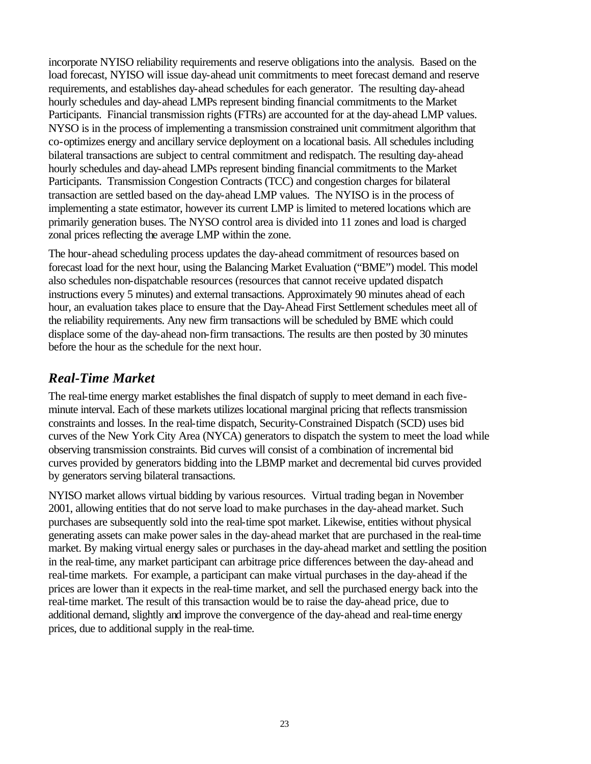incorporate NYISO reliability requirements and reserve obligations into the analysis. Based on the load forecast, NYISO will issue day-ahead unit commitments to meet forecast demand and reserve requirements, and establishes day-ahead schedules for each generator. The resulting day-ahead hourly schedules and day-ahead LMPs represent binding financial commitments to the Market Participants. Financial transmission rights (FTRs) are accounted for at the day-ahead LMP values. NYSO is in the process of implementing a transmission constrained unit commitment algorithm that co-optimizes energy and ancillary service deployment on a locational basis. All schedules including bilateral transactions are subject to central commitment and redispatch. The resulting day-ahead hourly schedules and day-ahead LMPs represent binding financial commitments to the Market Participants. Transmission Congestion Contracts (TCC) and congestion charges for bilateral transaction are settled based on the day-ahead LMP values. The NYISO is in the process of implementing a state estimator, however its current LMP is limited to metered locations which are primarily generation buses. The NYSO control area is divided into 11 zones and load is charged zonal prices reflecting the average LMP within the zone.

The hour-ahead scheduling process updates the day-ahead commitment of resources based on forecast load for the next hour, using the Balancing Market Evaluation ("BME") model. This model also schedules non-dispatchable resources (resources that cannot receive updated dispatch instructions every 5 minutes) and external transactions. Approximately 90 minutes ahead of each hour, an evaluation takes place to ensure that the Day-Ahead First Settlement schedules meet all of the reliability requirements. Any new firm transactions will be scheduled by BME which could displace some of the day-ahead non-firm transactions. The results are then posted by 30 minutes before the hour as the schedule for the next hour.

# *Real-Time Market*

The real-time energy market establishes the final dispatch of supply to meet demand in each fiveminute interval. Each of these markets utilizes locational marginal pricing that reflects transmission constraints and losses. In the real-time dispatch, Security-Constrained Dispatch (SCD) uses bid curves of the New York City Area (NYCA) generators to dispatch the system to meet the load while observing transmission constraints. Bid curves will consist of a combination of incremental bid curves provided by generators bidding into the LBMP market and decremental bid curves provided by generators serving bilateral transactions.

NYISO market allows virtual bidding by various resources. Virtual trading began in November 2001, allowing entities that do not serve load to make purchases in the day-ahead market. Such purchases are subsequently sold into the real-time spot market. Likewise, entities without physical generating assets can make power sales in the day-ahead market that are purchased in the real-time market. By making virtual energy sales or purchases in the day-ahead market and settling the position in the real-time, any market participant can arbitrage price differences between the day-ahead and real-time markets. For example, a participant can make virtual purchases in the day-ahead if the prices are lower than it expects in the real-time market, and sell the purchased energy back into the real-time market. The result of this transaction would be to raise the day-ahead price, due to additional demand, slightly and improve the convergence of the day-ahead and real-time energy prices, due to additional supply in the real-time.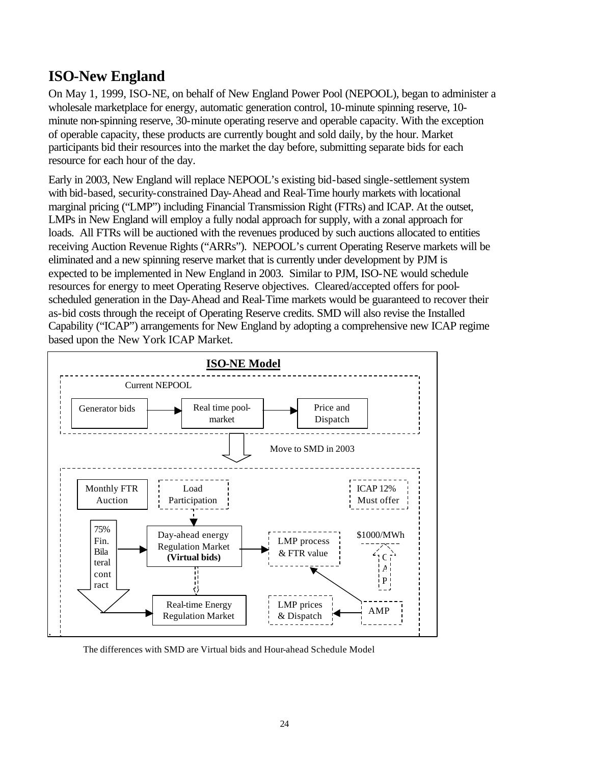# **ISO-New England**

On May 1, 1999, ISO-NE, on behalf of New England Power Pool (NEPOOL), began to administer a wholesale marketplace for energy, automatic generation control, 10-minute spinning reserve, 10 minute non-spinning reserve, 30-minute operating reserve and operable capacity. With the exception of operable capacity, these products are currently bought and sold daily, by the hour. Market participants bid their resources into the market the day before, submitting separate bids for each resource for each hour of the day.

Early in 2003, New England will replace NEPOOL's existing bid-based single-settlement system with bid-based, security-constrained Day-Ahead and Real-Time hourly markets with locational marginal pricing ("LMP") including Financial Transmission Right (FTRs) and ICAP. At the outset, LMPs in New England will employ a fully nodal approach for supply, with a zonal approach for loads. All FTRs will be auctioned with the revenues produced by such auctions allocated to entities receiving Auction Revenue Rights ("ARRs"). NEPOOL's current Operating Reserve markets will be eliminated and a new spinning reserve market that is currently under development by PJM is expected to be implemented in New England in 2003. Similar to PJM, ISO-NE would schedule resources for energy to meet Operating Reserve objectives. Cleared/accepted offers for poolscheduled generation in the Day-Ahead and Real-Time markets would be guaranteed to recover their as-bid costs through the receipt of Operating Reserve credits. SMD will also revise the Installed Capability ("ICAP") arrangements for New England by adopting a comprehensive new ICAP regime based upon the New York ICAP Market.



The differences with SMD are Virtual bids and Hour-ahead Schedule Model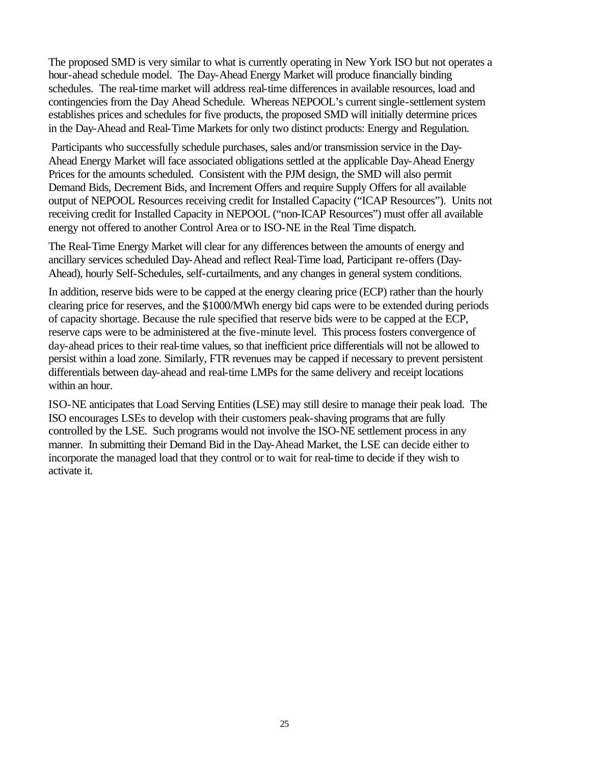The proposed SMD is very similar to what is currently operating in New York ISO but not operates a hour-ahead schedule model. The Day-Ahead Energy Market will produce financially binding schedules. The real-time market will address real-time differences in available resources, load and contingencies from the Day Ahead Schedule. Whereas NEPOOL's current single-settlement system establishes prices and schedules for five products, the proposed SMD will initially determine prices in the Day-Ahead and Real-Time Markets for only two distinct products: Energy and Regulation.

 Participants who successfully schedule purchases, sales and/or transmission service in the Day-Ahead Energy Market will face associated obligations settled at the applicable Day-Ahead Energy Prices for the amounts scheduled. Consistent with the PJM design, the SMD will also permit Demand Bids, Decrement Bids, and Increment Offers and require Supply Offers for all available output of NEPOOL Resources receiving credit for Installed Capacity ("ICAP Resources"). Units not receiving credit for Installed Capacity in NEPOOL ("non-ICAP Resources") must offer all available energy not offered to another Control Area or to ISO-NE in the Real Time dispatch.

The Real-Time Energy Market will clear for any differences between the amounts of energy and ancillary services scheduled Day-Ahead and reflect Real-Time load, Participant re-offers (Day-Ahead), hourly Self-Schedules, self-curtailments, and any changes in general system conditions.

In addition, reserve bids were to be capped at the energy clearing price (ECP) rather than the hourly clearing price for reserves, and the \$1000/MWh energy bid caps were to be extended during periods of capacity shortage. Because the rule specified that reserve bids were to be capped at the ECP, reserve caps were to be administered at the five-minute level. This process fosters convergence of day-ahead prices to their real-time values, so that inefficient price differentials will not be allowed to persist within a load zone. Similarly, FTR revenues may be capped if necessary to prevent persistent differentials between day-ahead and real-time LMPs for the same delivery and receipt locations within an hour.

ISO-NE anticipates that Load Serving Entities (LSE) may still desire to manage their peak load. The ISO encourages LSEs to develop with their customers peak-shaving programs that are fully controlled by the LSE. Such programs would not involve the ISO-NE settlement process in any manner. In submitting their Demand Bid in the Day-Ahead Market, the LSE can decide either to incorporate the managed load that they control or to wait for real-time to decide if they wish to activate it.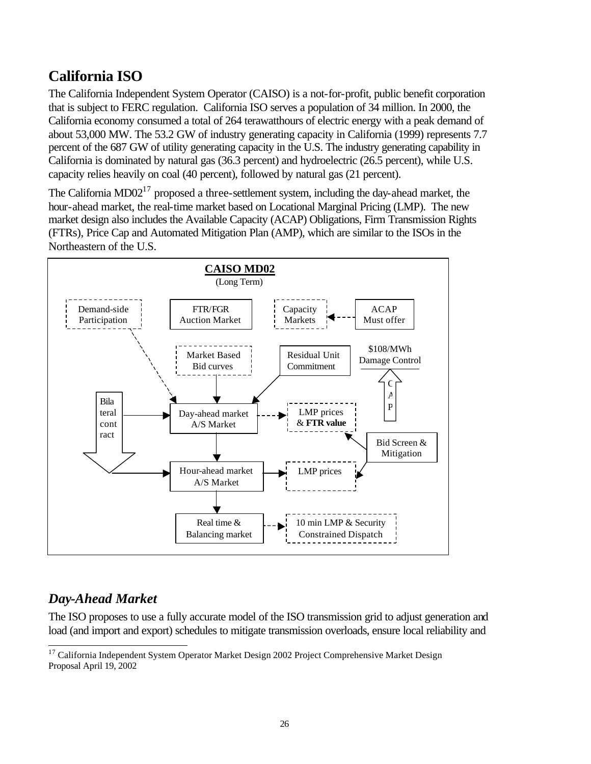# **California ISO**

The California Independent System Operator (CAISO) is a not-for-profit, public benefit corporation that is subject to FERC regulation. California ISO serves a population of 34 million. In 2000, the California economy consumed a total of 264 terawatthours of electric energy with a peak demand of about 53,000 MW. The 53.2 GW of industry generating capacity in California (1999) represents 7.7 percent of the 687 GW of utility generating capacity in the U.S. The industry generating capability in California is dominated by natural gas (36.3 percent) and hydroelectric (26.5 percent), while U.S. capacity relies heavily on coal (40 percent), followed by natural gas (21 percent).

The California  $MD02^{17}$  proposed a three-settlement system, including the day-ahead market, the hour-ahead market, the real-time market based on Locational Marginal Pricing (LMP). The new market design also includes the Available Capacity (ACAP) Obligations, Firm Transmission Rights (FTRs), Price Cap and Automated Mitigation Plan (AMP), which are similar to the ISOs in the Northeastern of the U.S.



# *Day-Ahead Market*

The ISO proposes to use a fully accurate model of the ISO transmission grid to adjust generation and load (and import and export) schedules to mitigate transmission overloads, ensure local reliability and

l <sup>17</sup> California Independent System Operator Market Design 2002 Project Comprehensive Market Design Proposal April 19, 2002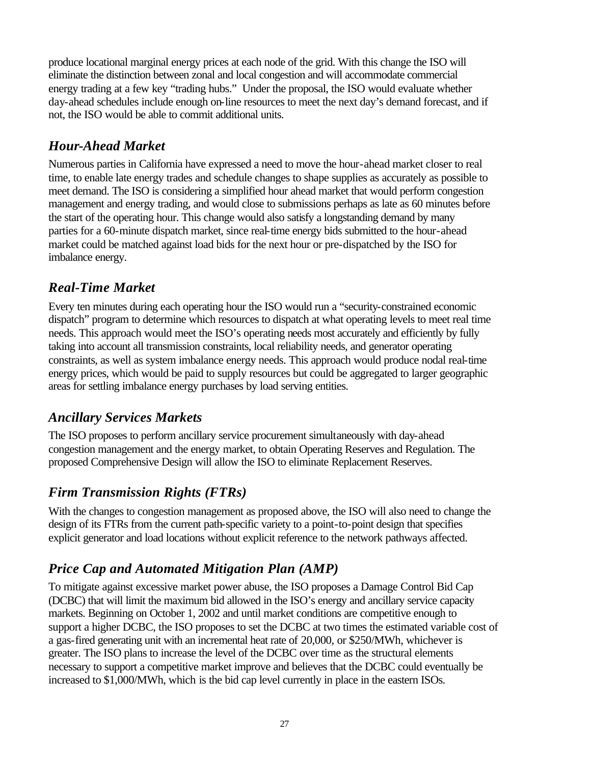produce locational marginal energy prices at each node of the grid. With this change the ISO will eliminate the distinction between zonal and local congestion and will accommodate commercial energy trading at a few key "trading hubs." Under the proposal, the ISO would evaluate whether day-ahead schedules include enough on-line resources to meet the next day's demand forecast, and if not, the ISO would be able to commit additional units.

# *Hour-Ahead Market*

Numerous parties in California have expressed a need to move the hour-ahead market closer to real time, to enable late energy trades and schedule changes to shape supplies as accurately as possible to meet demand. The ISO is considering a simplified hour ahead market that would perform congestion management and energy trading, and would close to submissions perhaps as late as 60 minutes before the start of the operating hour. This change would also satisfy a longstanding demand by many parties for a 60-minute dispatch market, since real-time energy bids submitted to the hour-ahead market could be matched against load bids for the next hour or pre-dispatched by the ISO for imbalance energy.

## *Real-Time Market*

Every ten minutes during each operating hour the ISO would run a "security-constrained economic dispatch" program to determine which resources to dispatch at what operating levels to meet real time needs. This approach would meet the ISO's operating needs most accurately and efficiently by fully taking into account all transmission constraints, local reliability needs, and generator operating constraints, as well as system imbalance energy needs. This approach would produce nodal real-time energy prices, which would be paid to supply resources but could be aggregated to larger geographic areas for settling imbalance energy purchases by load serving entities.

# *Ancillary Services Markets*

The ISO proposes to perform ancillary service procurement simultaneously with day-ahead congestion management and the energy market, to obtain Operating Reserves and Regulation. The proposed Comprehensive Design will allow the ISO to eliminate Replacement Reserves.

# *Firm Transmission Rights (FTRs)*

With the changes to congestion management as proposed above, the ISO will also need to change the design of its FTRs from the current path-specific variety to a point-to-point design that specifies explicit generator and load locations without explicit reference to the network pathways affected.

# *Price Cap and Automated Mitigation Plan (AMP)*

To mitigate against excessive market power abuse, the ISO proposes a Damage Control Bid Cap (DCBC) that will limit the maximum bid allowed in the ISO's energy and ancillary service capacity markets. Beginning on October 1, 2002 and until market conditions are competitive enough to support a higher DCBC, the ISO proposes to set the DCBC at two times the estimated variable cost of a gas-fired generating unit with an incremental heat rate of 20,000, or \$250/MWh, whichever is greater. The ISO plans to increase the level of the DCBC over time as the structural elements necessary to support a competitive market improve and believes that the DCBC could eventually be increased to \$1,000/MWh, which is the bid cap level currently in place in the eastern ISOs.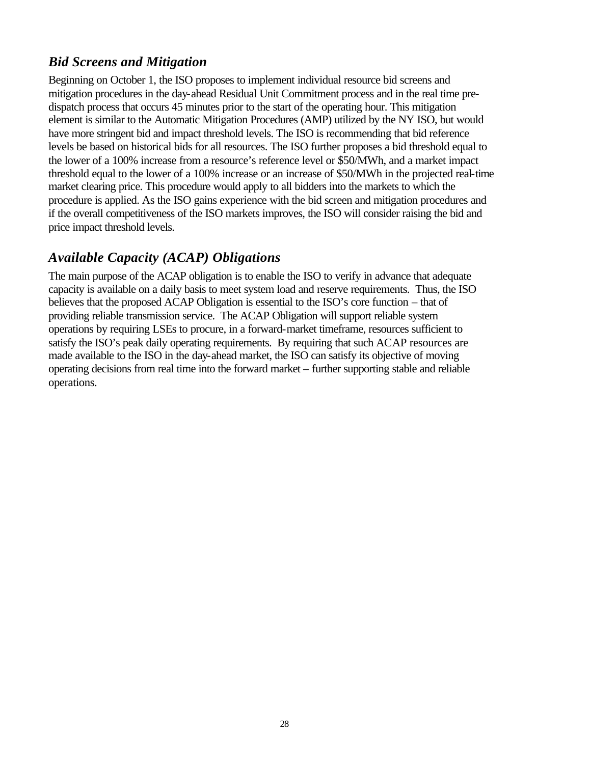# *Bid Screens and Mitigation*

Beginning on October 1, the ISO proposes to implement individual resource bid screens and mitigation procedures in the day-ahead Residual Unit Commitment process and in the real time predispatch process that occurs 45 minutes prior to the start of the operating hour. This mitigation element is similar to the Automatic Mitigation Procedures (AMP) utilized by the NY ISO, but would have more stringent bid and impact threshold levels. The ISO is recommending that bid reference levels be based on historical bids for all resources. The ISO further proposes a bid threshold equal to the lower of a 100% increase from a resource's reference level or \$50/MWh, and a market impact threshold equal to the lower of a 100% increase or an increase of \$50/MWh in the projected real-time market clearing price. This procedure would apply to all bidders into the markets to which the procedure is applied. As the ISO gains experience with the bid screen and mitigation procedures and if the overall competitiveness of the ISO markets improves, the ISO will consider raising the bid and price impact threshold levels.

### *Available Capacity (ACAP) Obligations*

The main purpose of the ACAP obligation is to enable the ISO to verify in advance that adequate capacity is available on a daily basis to meet system load and reserve requirements. Thus, the ISO believes that the proposed ACAP Obligation is essential to the ISO's core function – that of providing reliable transmission service. The ACAP Obligation will support reliable system operations by requiring LSEs to procure, in a forward-market timeframe, resources sufficient to satisfy the ISO's peak daily operating requirements. By requiring that such ACAP resources are made available to the ISO in the day-ahead market, the ISO can satisfy its objective of moving operating decisions from real time into the forward market – further supporting stable and reliable operations.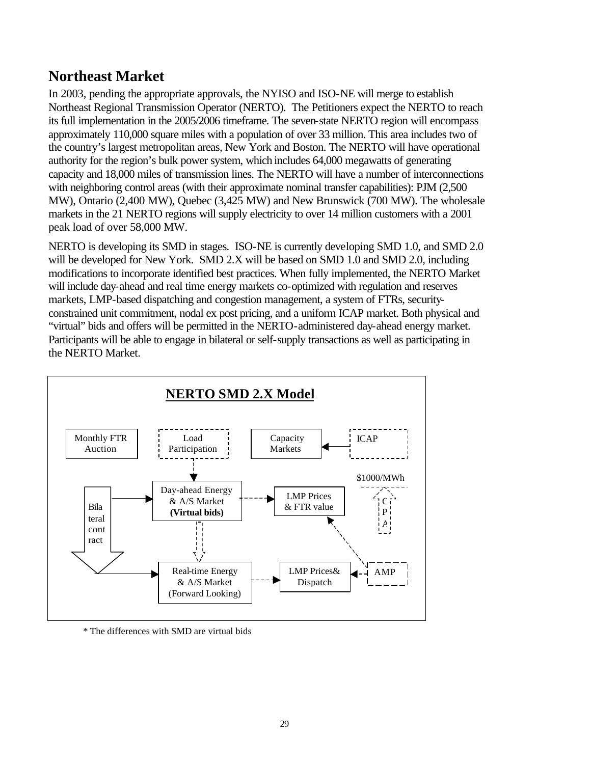# **Northeast Market**

In 2003, pending the appropriate approvals, the NYISO and ISO-NE will merge to establish Northeast Regional Transmission Operator (NERTO). The Petitioners expect the NERTO to reach its full implementation in the 2005/2006 timeframe. The seven-state NERTO region will encompass approximately 110,000 square miles with a population of over 33 million. This area includes two of the country's largest metropolitan areas, New York and Boston. The NERTO will have operational authority for the region's bulk power system, which includes 64,000 megawatts of generating capacity and 18,000 miles of transmission lines. The NERTO will have a number of interconnections with neighboring control areas (with their approximate nominal transfer capabilities): PJM (2,500) MW), Ontario (2,400 MW), Quebec (3,425 MW) and New Brunswick (700 MW). The wholesale markets in the 21 NERTO regions will supply electricity to over 14 million customers with a 2001 peak load of over 58,000 MW.

NERTO is developing its SMD in stages. ISO-NE is currently developing SMD 1.0, and SMD 2.0 will be developed for New York. SMD 2.X will be based on SMD 1.0 and SMD 2.0, including modifications to incorporate identified best practices. When fully implemented, the NERTO Market will include day-ahead and real time energy markets co-optimized with regulation and reserves markets, LMP-based dispatching and congestion management, a system of FTRs, securityconstrained unit commitment, nodal ex post pricing, and a uniform ICAP market. Both physical and "virtual" bids and offers will be permitted in the NERTO-administered day-ahead energy market. Participants will be able to engage in bilateral or self-supply transactions as well as participating in the NERTO Market.



\* The differences with SMD are virtual bids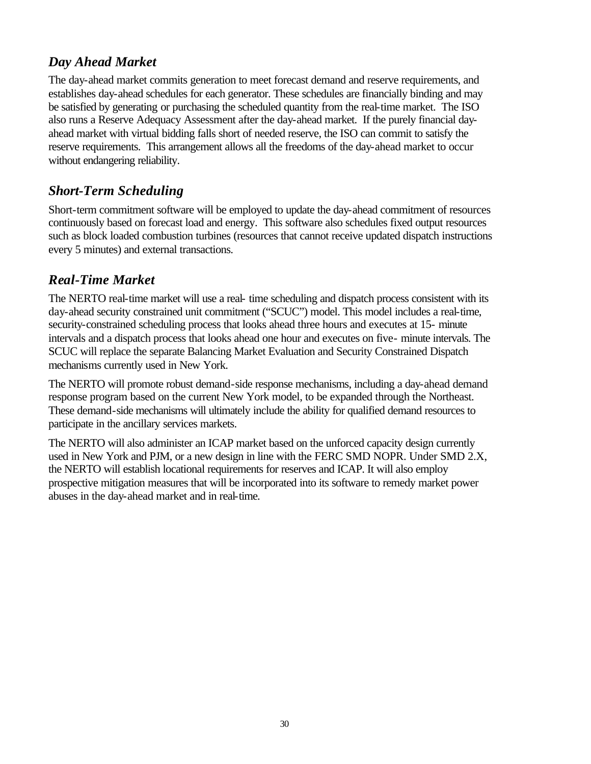## *Day Ahead Market*

The day-ahead market commits generation to meet forecast demand and reserve requirements, and establishes day-ahead schedules for each generator. These schedules are financially binding and may be satisfied by generating or purchasing the scheduled quantity from the real-time market. The ISO also runs a Reserve Adequacy Assessment after the day-ahead market. If the purely financial dayahead market with virtual bidding falls short of needed reserve, the ISO can commit to satisfy the reserve requirements. This arrangement allows all the freedoms of the day-ahead market to occur without endangering reliability.

## *Short-Term Scheduling*

Short-term commitment software will be employed to update the day-ahead commitment of resources continuously based on forecast load and energy. This software also schedules fixed output resources such as block loaded combustion turbines (resources that cannot receive updated dispatch instructions every 5 minutes) and external transactions.

## *Real-Time Market*

The NERTO real-time market will use a real- time scheduling and dispatch process consistent with its day-ahead security constrained unit commitment ("SCUC") model. This model includes a real-time, security-constrained scheduling process that looks ahead three hours and executes at 15- minute intervals and a dispatch process that looks ahead one hour and executes on five- minute intervals. The SCUC will replace the separate Balancing Market Evaluation and Security Constrained Dispatch mechanisms currently used in New York.

The NERTO will promote robust demand-side response mechanisms, including a day-ahead demand response program based on the current New York model, to be expanded through the Northeast. These demand-side mechanisms will ultimately include the ability for qualified demand resources to participate in the ancillary services markets.

The NERTO will also administer an ICAP market based on the unforced capacity design currently used in New York and PJM, or a new design in line with the FERC SMD NOPR. Under SMD 2.X, the NERTO will establish locational requirements for reserves and ICAP. It will also employ prospective mitigation measures that will be incorporated into its software to remedy market power abuses in the day-ahead market and in real-time.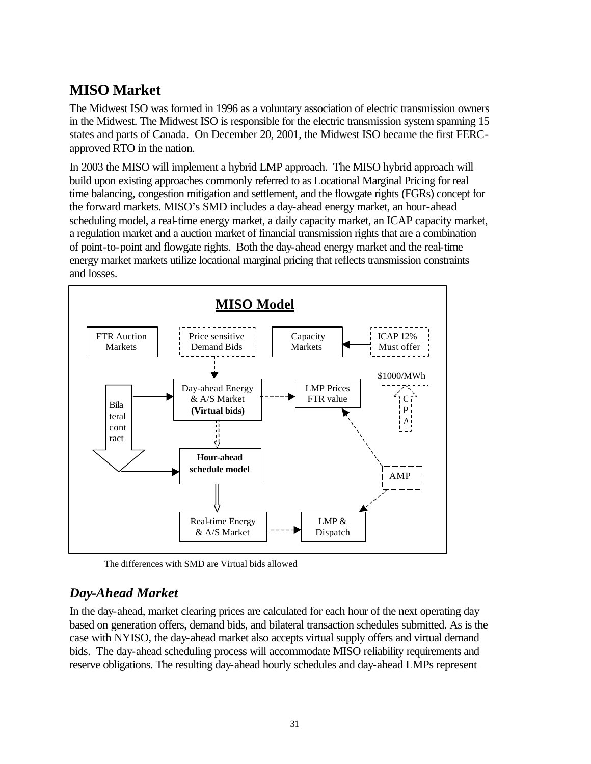# **MISO Market**

The Midwest ISO was formed in 1996 as a voluntary association of electric transmission owners in the Midwest. The Midwest ISO is responsible for the electric transmission system spanning 15 states and parts of Canada. On December 20, 2001, the Midwest ISO became the first FERCapproved RTO in the nation.

In 2003 the MISO will implement a hybrid LMP approach. The MISO hybrid approach will build upon existing approaches commonly referred to as Locational Marginal Pricing for real time balancing, congestion mitigation and settlement, and the flowgate rights (FGRs) concept for the forward markets. MISO's SMD includes a day-ahead energy market, an hour-ahead scheduling model, a real-time energy market, a daily capacity market, an ICAP capacity market, a regulation market and a auction market of financial transmission rights that are a combination of point-to-point and flowgate rights. Both the day-ahead energy market and the real-time energy market markets utilize locational marginal pricing that reflects transmission constraints and losses.



The differences with SMD are Virtual bids allowed

# *Day-Ahead Market*

In the day-ahead, market clearing prices are calculated for each hour of the next operating day based on generation offers, demand bids, and bilateral transaction schedules submitted. As is the case with NYISO, the day-ahead market also accepts virtual supply offers and virtual demand bids. The day-ahead scheduling process will accommodate MISO reliability requirements and reserve obligations. The resulting day-ahead hourly schedules and day-ahead LMPs represent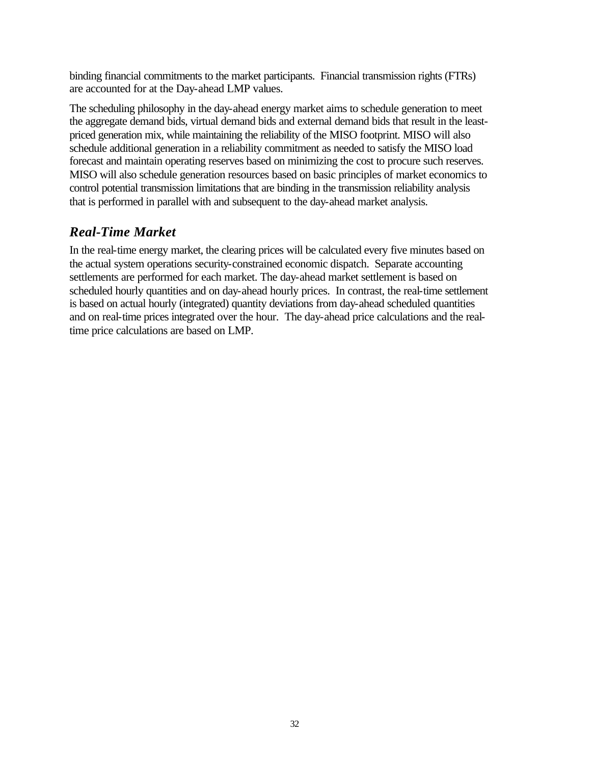binding financial commitments to the market participants. Financial transmission rights (FTRs) are accounted for at the Day-ahead LMP values.

The scheduling philosophy in the day-ahead energy market aims to schedule generation to meet the aggregate demand bids, virtual demand bids and external demand bids that result in the leastpriced generation mix, while maintaining the reliability of the MISO footprint. MISO will also schedule additional generation in a reliability commitment as needed to satisfy the MISO load forecast and maintain operating reserves based on minimizing the cost to procure such reserves. MISO will also schedule generation resources based on basic principles of market economics to control potential transmission limitations that are binding in the transmission reliability analysis that is performed in parallel with and subsequent to the day-ahead market analysis.

# *Real-Time Market*

In the real-time energy market, the clearing prices will be calculated every five minutes based on the actual system operations security-constrained economic dispatch. Separate accounting settlements are performed for each market. The day-ahead market settlement is based on scheduled hourly quantities and on day-ahead hourly prices. In contrast, the real-time settlement is based on actual hourly (integrated) quantity deviations from day-ahead scheduled quantities and on real-time prices integrated over the hour. The day-ahead price calculations and the realtime price calculations are based on LMP.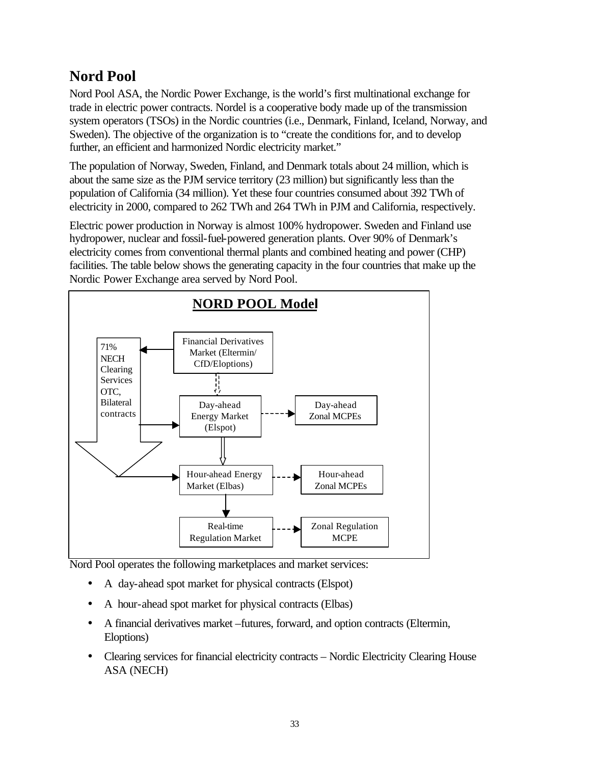# **Nord Pool**

Nord Pool ASA, the Nordic Power Exchange, is the world's first multinational exchange for trade in electric power contracts. Nordel is a cooperative body made up of the transmission system operators (TSOs) in the Nordic countries (i.e., Denmark, Finland, Iceland, Norway, and Sweden). The objective of the organization is to "create the conditions for, and to develop further, an efficient and harmonized Nordic electricity market."

The population of Norway, Sweden, Finland, and Denmark totals about 24 million, which is about the same size as the PJM service territory (23 million) but significantly less than the population of California (34 million). Yet these four countries consumed about 392 TWh of electricity in 2000, compared to 262 TWh and 264 TWh in PJM and California, respectively.

Electric power production in Norway is almost 100% hydropower. Sweden and Finland use hydropower, nuclear and fossil-fuel-powered generation plants. Over 90% of Denmark's electricity comes from conventional thermal plants and combined heating and power (CHP) facilities. The table below shows the generating capacity in the four countries that make up the Nordic Power Exchange area served by Nord Pool.



Nord Pool operates the following marketplaces and market services:

- A day-ahead spot market for physical contracts (Elspot)
- A hour-ahead spot market for physical contracts (Elbas)
- A financial derivatives market –futures, forward, and option contracts (Eltermin, Eloptions)
- Clearing services for financial electricity contracts Nordic Electricity Clearing House ASA (NECH)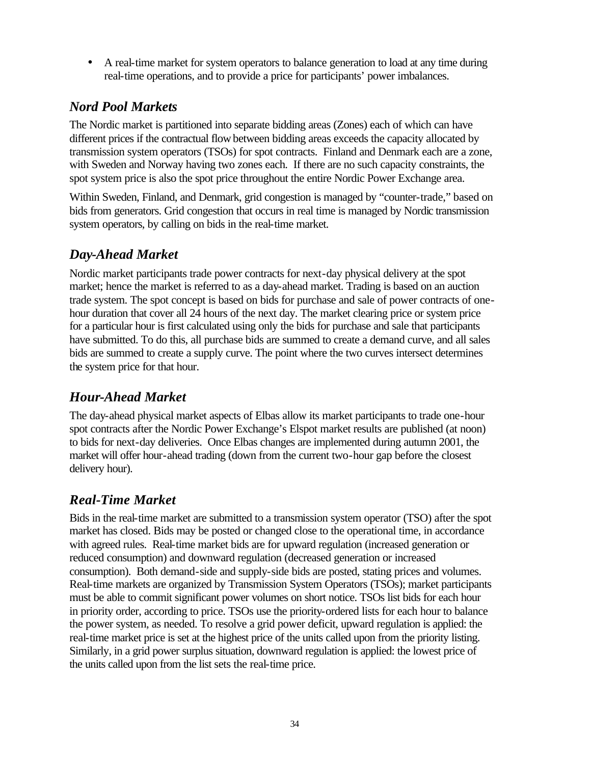• A real-time market for system operators to balance generation to load at any time during real-time operations, and to provide a price for participants' power imbalances.

# *Nord Pool Markets*

The Nordic market is partitioned into separate bidding areas (Zones) each of which can have different prices if the contractual flow between bidding areas exceeds the capacity allocated by transmission system operators (TSOs) for spot contracts. Finland and Denmark each are a zone, with Sweden and Norway having two zones each. If there are no such capacity constraints, the spot system price is also the spot price throughout the entire Nordic Power Exchange area.

Within Sweden, Finland, and Denmark, grid congestion is managed by "counter-trade," based on bids from generators. Grid congestion that occurs in real time is managed by Nordic transmission system operators, by calling on bids in the real-time market.

## *Day-Ahead Market*

Nordic market participants trade power contracts for next-day physical delivery at the spot market; hence the market is referred to as a day-ahead market. Trading is based on an auction trade system. The spot concept is based on bids for purchase and sale of power contracts of onehour duration that cover all 24 hours of the next day. The market clearing price or system price for a particular hour is first calculated using only the bids for purchase and sale that participants have submitted. To do this, all purchase bids are summed to create a demand curve, and all sales bids are summed to create a supply curve. The point where the two curves intersect determines the system price for that hour.

# *Hour-Ahead Market*

The day-ahead physical market aspects of Elbas allow its market participants to trade one-hour spot contracts after the Nordic Power Exchange's Elspot market results are published (at noon) to bids for next-day deliveries. Once Elbas changes are implemented during autumn 2001, the market will offer hour-ahead trading (down from the current two-hour gap before the closest delivery hour).

# *Real-Time Market*

Bids in the real-time market are submitted to a transmission system operator (TSO) after the spot market has closed. Bids may be posted or changed close to the operational time, in accordance with agreed rules. Real-time market bids are for upward regulation (increased generation or reduced consumption) and downward regulation (decreased generation or increased consumption). Both demand-side and supply-side bids are posted, stating prices and volumes. Real-time markets are organized by Transmission System Operators (TSOs); market participants must be able to commit significant power volumes on short notice. TSOs list bids for each hour in priority order, according to price. TSOs use the priority-ordered lists for each hour to balance the power system, as needed. To resolve a grid power deficit, upward regulation is applied: the real-time market price is set at the highest price of the units called upon from the priority listing. Similarly, in a grid power surplus situation, downward regulation is applied: the lowest price of the units called upon from the list sets the real-time price.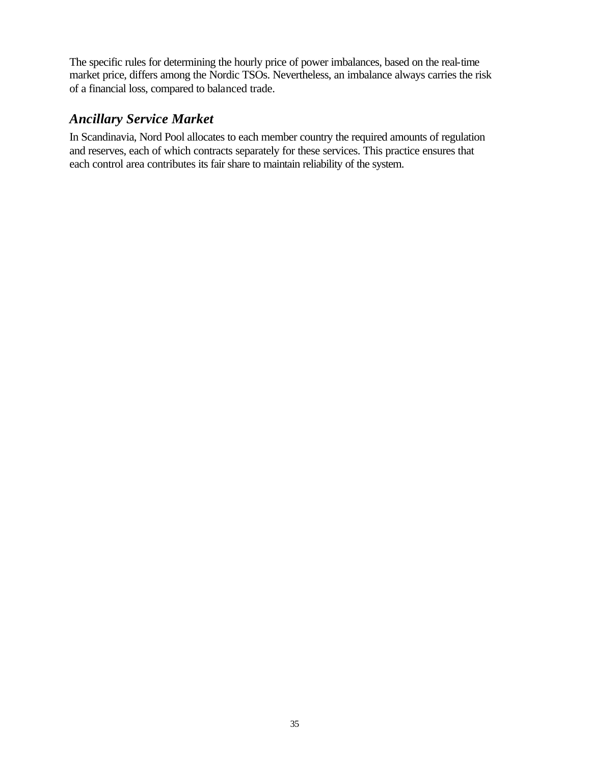The specific rules for determining the hourly price of power imbalances, based on the real-time market price, differs among the Nordic TSOs. Nevertheless, an imbalance always carries the risk of a financial loss, compared to balanced trade.

## *Ancillary Service Market*

In Scandinavia, Nord Pool allocates to each member country the required amounts of regulation and reserves, each of which contracts separately for these services. This practice ensures that each control area contributes its fair share to maintain reliability of the system.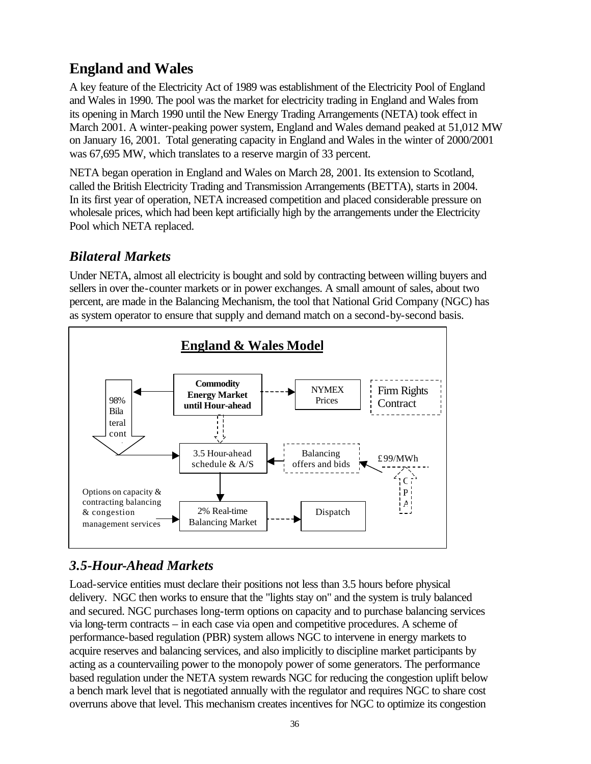# **England and Wales**

A key feature of the Electricity Act of 1989 was establishment of the Electricity Pool of England and Wales in 1990. The pool was the market for electricity trading in England and Wales from its opening in March 1990 until the New Energy Trading Arrangements (NETA) took effect in March 2001. A winter-peaking power system, England and Wales demand peaked at 51,012 MW on January 16, 2001. Total generating capacity in England and Wales in the winter of 2000/2001 was 67,695 MW, which translates to a reserve margin of 33 percent.

NETA began operation in England and Wales on March 28, 2001. Its extension to Scotland, called the British Electricity Trading and Transmission Arrangements (BETTA), starts in 2004. In its first year of operation, NETA increased competition and placed considerable pressure on wholesale prices, which had been kept artificially high by the arrangements under the Electricity Pool which NETA replaced.

## *Bilateral Markets*

Under NETA, almost all electricity is bought and sold by contracting between willing buyers and sellers in over the-counter markets or in power exchanges. A small amount of sales, about two percent, are made in the Balancing Mechanism, the tool that National Grid Company (NGC) has as system operator to ensure that supply and demand match on a second-by-second basis.



# *3.5-Hour-Ahead Markets*

Load-service entities must declare their positions not less than 3.5 hours before physical delivery. NGC then works to ensure that the "lights stay on" and the system is truly balanced and secured. NGC purchases long-term options on capacity and to purchase balancing services via long-term contracts – in each case via open and competitive procedures. A scheme of performance-based regulation (PBR) system allows NGC to intervene in energy markets to acquire reserves and balancing services, and also implicitly to discipline market participants by acting as a countervailing power to the monopoly power of some generators. The performance based regulation under the NETA system rewards NGC for reducing the congestion uplift below a bench mark level that is negotiated annually with the regulator and requires NGC to share cost overruns above that level. This mechanism creates incentives for NGC to optimize its congestion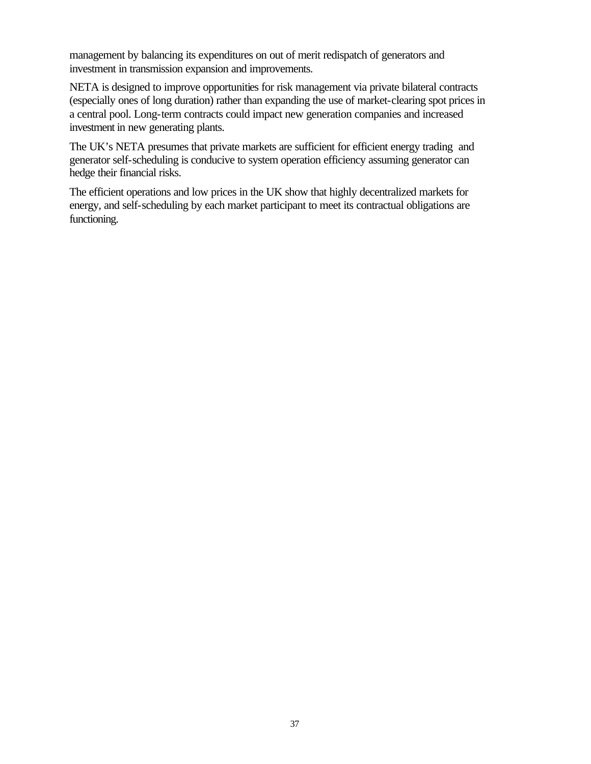management by balancing its expenditures on out of merit redispatch of generators and investment in transmission expansion and improvements.

NETA is designed to improve opportunities for risk management via private bilateral contracts (especially ones of long duration) rather than expanding the use of market-clearing spot prices in a central pool. Long-term contracts could impact new generation companies and increased investment in new generating plants.

The UK's NETA presumes that private markets are sufficient for efficient energy trading and generator self-scheduling is conducive to system operation efficiency assuming generator can hedge their financial risks.

The efficient operations and low prices in the UK show that highly decentralized markets for energy, and self-scheduling by each market participant to meet its contractual obligations are functioning.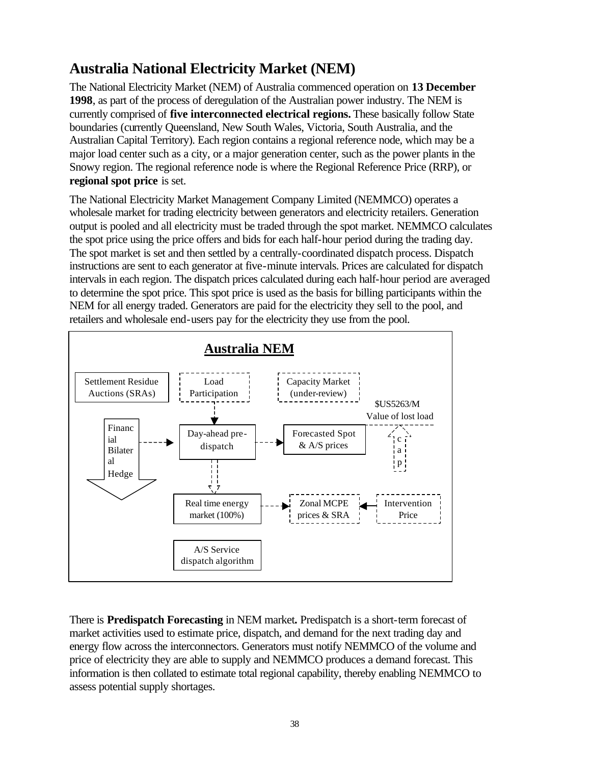# **Australia National Electricity Market (NEM)**

The National Electricity Market (NEM) of Australia commenced operation on **13 December 1998**, as part of the process of deregulation of the Australian power industry. The NEM is currently comprised of **five interconnected electrical regions.** These basically follow State boundaries (currently Queensland, New South Wales, Victoria, South Australia, and the Australian Capital Territory). Each region contains a regional reference node, which may be a major load center such as a city, or a major generation center, such as the power plants in the Snowy region. The regional reference node is where the Regional Reference Price (RRP), or **regional spot price** is set.

The National Electricity Market Management Company Limited (NEMMCO) operates a wholesale market for trading electricity between generators and electricity retailers. Generation output is pooled and all electricity must be traded through the spot market. NEMMCO calculates the spot price using the price offers and bids for each half-hour period during the trading day. The spot market is set and then settled by a centrally-coordinated dispatch process. Dispatch instructions are sent to each generator at five-minute intervals. Prices are calculated for dispatch intervals in each region. The dispatch prices calculated during each half-hour period are averaged to determine the spot price. This spot price is used as the basis for billing participants within the NEM for all energy traded. Generators are paid for the electricity they sell to the pool, and retailers and wholesale end-users pay for the electricity they use from the pool.



There is **Predispatch Forecasting** in NEM market**.** Predispatch is a short-term forecast of market activities used to estimate price, dispatch, and demand for the next trading day and energy flow across the interconnectors. Generators must notify NEMMCO of the volume and price of electricity they are able to supply and NEMMCO produces a demand forecast. This information is then collated to estimate total regional capability, thereby enabling NEMMCO to assess potential supply shortages.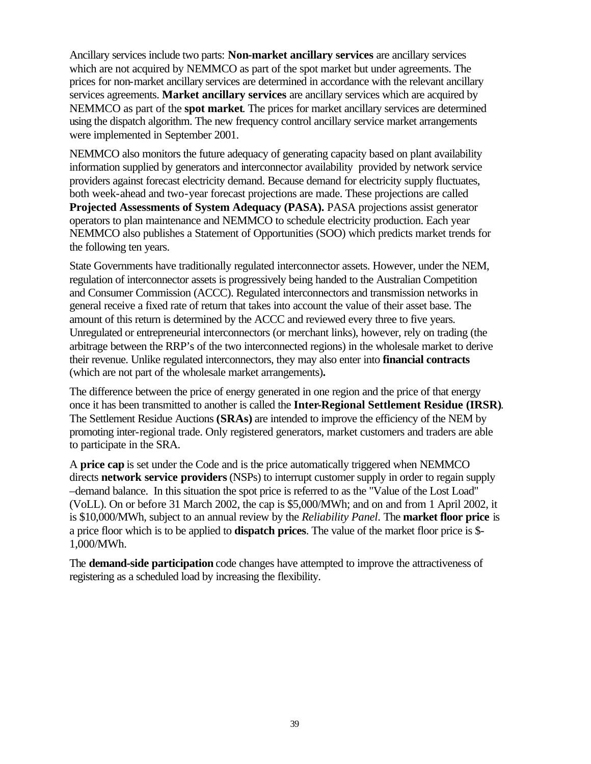Ancillary services include two parts: **Non-market ancillary services** are ancillary services which are not acquired by NEMMCO as part of the spot market but under agreements. The prices for non-market ancillary services are determined in accordance with the relevant ancillary services agreements. **Market ancillary services** are ancillary services which are acquired by NEMMCO as part of the **spot market**. The prices for market ancillary services are determined using the dispatch algorithm. The new frequency control ancillary service market arrangements were implemented in September 2001.

NEMMCO also monitors the future adequacy of generating capacity based on plant availability information supplied by generators and interconnector availability provided by network service providers against forecast electricity demand. Because demand for electricity supply fluctuates, both week-ahead and two-year forecast projections are made. These projections are called **Projected Assessments of System Adequacy (PASA).** PASA projections assist generator operators to plan maintenance and NEMMCO to schedule electricity production. Each year NEMMCO also publishes a Statement of Opportunities (SOO) which predicts market trends for the following ten years.

State Governments have traditionally regulated interconnector assets. However, under the NEM, regulation of interconnector assets is progressively being handed to the Australian Competition and Consumer Commission (ACCC). Regulated interconnectors and transmission networks in general receive a fixed rate of return that takes into account the value of their asset base. The amount of this return is determined by the ACCC and reviewed every three to five years. Unregulated or entrepreneurial interconnectors (or merchant links), however, rely on trading (the arbitrage between the RRP's of the two interconnected regions) in the wholesale market to derive their revenue. Unlike regulated interconnectors, they may also enter into **financial contracts** (which are not part of the wholesale market arrangements)**.** 

The difference between the price of energy generated in one region and the price of that energy once it has been transmitted to another is called the **Inter-Regional Settlement Residue (IRSR)**. The Settlement Residue Auctions **(SRAs)** are intended to improve the efficiency of the NEM by promoting inter-regional trade. Only registered generators, market customers and traders are able to participate in the SRA.

A **price cap** is set under the Code and is the price automatically triggered when NEMMCO directs **network service providers** (NSPs) to interrupt customer supply in order to regain supply –demand balance. In this situation the spot price is referred to as the "Value of the Lost Load" (VoLL). On or before 31 March 2002, the cap is \$5,000/MWh; and on and from 1 April 2002, it is \$10,000/MWh, subject to an annual review by the *Reliability Panel*. The **market floor price** is a price floor which is to be applied to **dispatch prices**. The value of the market floor price is \$- 1,000/MWh.

The **demand-side participation** code changes have attempted to improve the attractiveness of registering as a scheduled load by increasing the flexibility.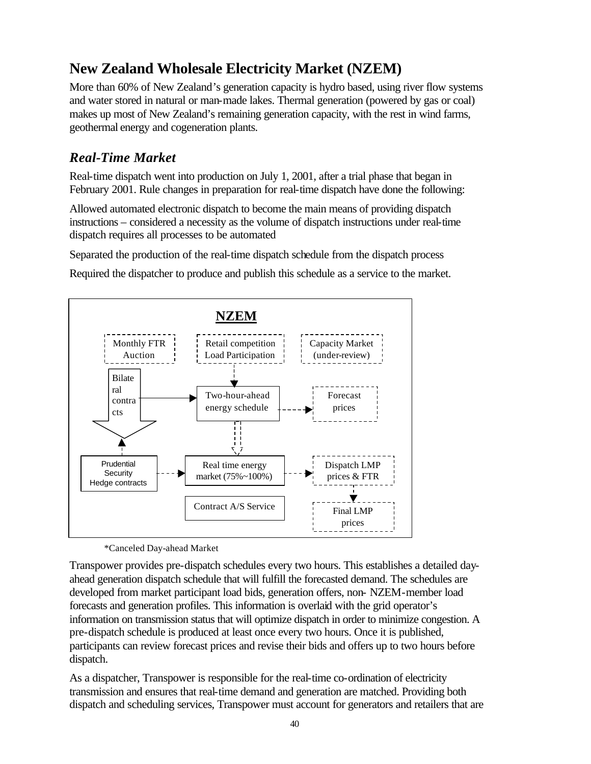# **New Zealand Wholesale Electricity Market (NZEM)**

More than 60% of New Zealand's generation capacity is hydro based, using river flow systems and water stored in natural or man-made lakes. Thermal generation (powered by gas or coal) makes up most of New Zealand's remaining generation capacity, with the rest in wind farms, geothermal energy and cogeneration plants.

# *Real-Time Market*

Real-time dispatch went into production on July 1, 2001, after a trial phase that began in February 2001. Rule changes in preparation for real-time dispatch have done the following:

Allowed automated electronic dispatch to become the main means of providing dispatch instructions – considered a necessity as the volume of dispatch instructions under real-time dispatch requires all processes to be automated

Separated the production of the real-time dispatch schedule from the dispatch process

Required the dispatcher to produce and publish this schedule as a service to the market.



\*Canceled Day-ahead Market

Transpower provides pre-dispatch schedules every two hours. This establishes a detailed dayahead generation dispatch schedule that will fulfill the forecasted demand. The schedules are developed from market participant load bids, generation offers, non- NZEM-member load forecasts and generation profiles. This information is overlaid with the grid operator's information on transmission status that will optimize dispatch in order to minimize congestion. A pre-dispatch schedule is produced at least once every two hours. Once it is published, participants can review forecast prices and revise their bids and offers up to two hours before dispatch.

As a dispatcher, Transpower is responsible for the real-time co-ordination of electricity transmission and ensures that real-time demand and generation are matched. Providing both dispatch and scheduling services, Transpower must account for generators and retailers that are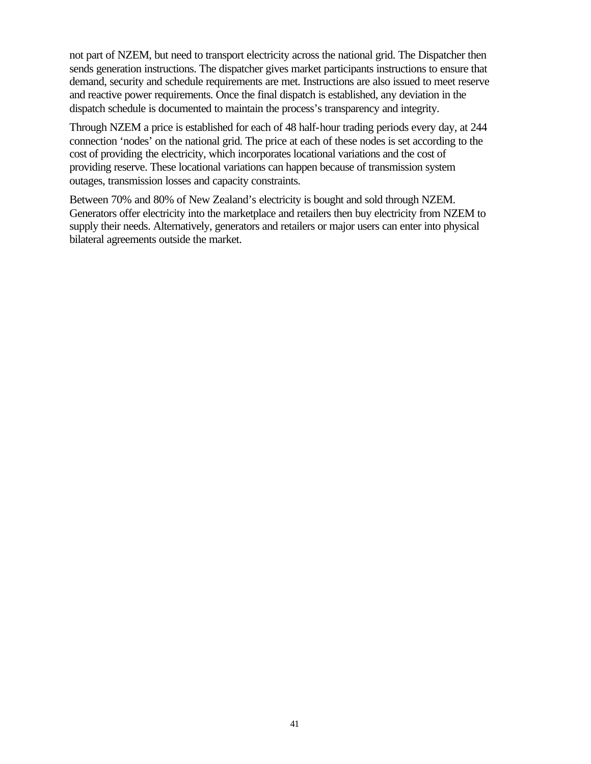not part of NZEM, but need to transport electricity across the national grid. The Dispatcher then sends generation instructions. The dispatcher gives market participants instructions to ensure that demand, security and schedule requirements are met. Instructions are also issued to meet reserve and reactive power requirements. Once the final dispatch is established, any deviation in the dispatch schedule is documented to maintain the process's transparency and integrity.

Through NZEM a price is established for each of 48 half-hour trading periods every day, at 244 connection 'nodes' on the national grid. The price at each of these nodes is set according to the cost of providing the electricity, which incorporates locational variations and the cost of providing reserve. These locational variations can happen because of transmission system outages, transmission losses and capacity constraints.

Between 70% and 80% of New Zealand's electricity is bought and sold through NZEM. Generators offer electricity into the marketplace and retailers then buy electricity from NZEM to supply their needs. Alternatively, generators and retailers or major users can enter into physical bilateral agreements outside the market.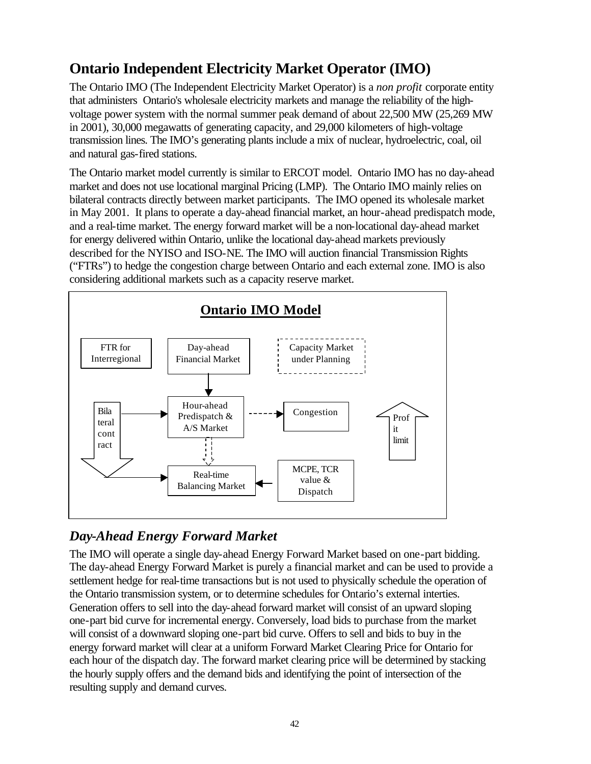# **Ontario Independent Electricity Market Operator (IMO)**

The Ontario IMO (The Independent Electricity Market Operator) is a *non profit* corporate entity that administers Ontario's wholesale electricity markets and manage the reliability of the highvoltage power system with the normal summer peak demand of about 22,500 MW (25,269 MW in 2001), 30,000 megawatts of generating capacity, and 29,000 kilometers of high-voltage transmission lines. The IMO's generating plants include a mix of nuclear, hydroelectric, coal, oil and natural gas-fired stations.

The Ontario market model currently is similar to ERCOT model. Ontario IMO has no day-ahead market and does not use locational marginal Pricing (LMP). The Ontario IMO mainly relies on bilateral contracts directly between market participants. The IMO opened its wholesale market in May 2001. It plans to operate a day-ahead financial market, an hour-ahead predispatch mode, and a real-time market. The energy forward market will be a non-locational day-ahead market for energy delivered within Ontario, unlike the locational day-ahead markets previously described for the NYISO and ISO-NE. The IMO will auction financial Transmission Rights ("FTRs") to hedge the congestion charge between Ontario and each external zone. IMO is also considering additional markets such as a capacity reserve market.



# *Day-Ahead Energy Forward Market*

The IMO will operate a single day-ahead Energy Forward Market based on one-part bidding. The day-ahead Energy Forward Market is purely a financial market and can be used to provide a settlement hedge for real-time transactions but is not used to physically schedule the operation of the Ontario transmission system, or to determine schedules for Ontario's external interties. Generation offers to sell into the day-ahead forward market will consist of an upward sloping one-part bid curve for incremental energy. Conversely, load bids to purchase from the market will consist of a downward sloping one-part bid curve. Offers to sell and bids to buy in the energy forward market will clear at a uniform Forward Market Clearing Price for Ontario for each hour of the dispatch day. The forward market clearing price will be determined by stacking the hourly supply offers and the demand bids and identifying the point of intersection of the resulting supply and demand curves.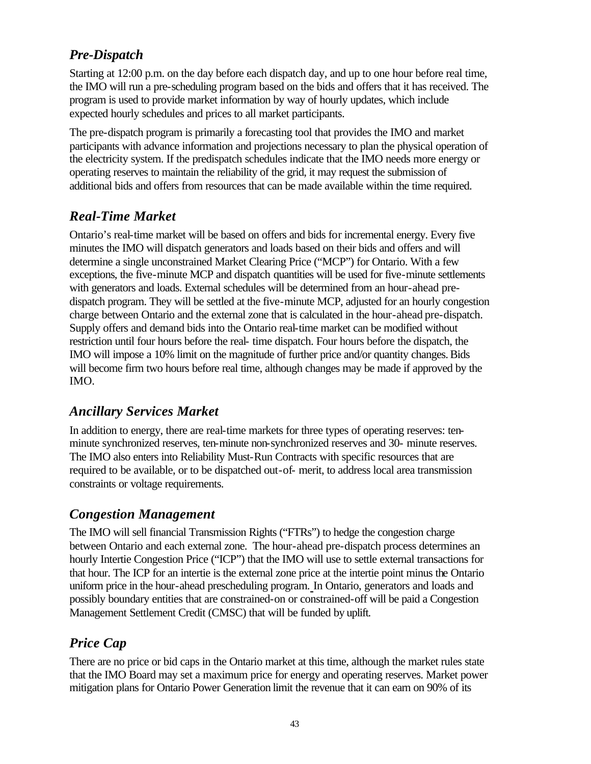# *Pre-Dispatch*

Starting at 12:00 p.m. on the day before each dispatch day, and up to one hour before real time, the IMO will run a pre-scheduling program based on the bids and offers that it has received. The program is used to provide market information by way of hourly updates, which include expected hourly schedules and prices to all market participants.

The pre-dispatch program is primarily a forecasting tool that provides the IMO and market participants with advance information and projections necessary to plan the physical operation of the electricity system. If the predispatch schedules indicate that the IMO needs more energy or operating reserves to maintain the reliability of the grid, it may request the submission of additional bids and offers from resources that can be made available within the time required.

# *Real-Time Market*

Ontario's real-time market will be based on offers and bids for incremental energy. Every five minutes the IMO will dispatch generators and loads based on their bids and offers and will determine a single unconstrained Market Clearing Price ("MCP") for Ontario. With a few exceptions, the five-minute MCP and dispatch quantities will be used for five-minute settlements with generators and loads. External schedules will be determined from an hour-ahead predispatch program. They will be settled at the five-minute MCP, adjusted for an hourly congestion charge between Ontario and the external zone that is calculated in the hour-ahead pre-dispatch. Supply offers and demand bids into the Ontario real-time market can be modified without restriction until four hours before the real- time dispatch. Four hours before the dispatch, the IMO will impose a 10% limit on the magnitude of further price and/or quantity changes.Bids will become firm two hours before real time, although changes may be made if approved by the IMO.

### *Ancillary Services Market*

In addition to energy, there are real-time markets for three types of operating reserves: tenminute synchronized reserves, ten-minute non-synchronized reserves and 30- minute reserves. The IMO also enters into Reliability Must-Run Contracts with specific resources that are required to be available, or to be dispatched out-of- merit, to address local area transmission constraints or voltage requirements.

### *Congestion Management*

The IMO will sell financial Transmission Rights ("FTRs") to hedge the congestion charge between Ontario and each external zone. The hour-ahead pre-dispatch process determines an hourly Intertie Congestion Price ("ICP") that the IMO will use to settle external transactions for that hour. The ICP for an intertie is the external zone price at the intertie point minus the Ontario uniform price in the hour-ahead prescheduling program. In Ontario, generators and loads and possibly boundary entities that are constrained-on or constrained-off will be paid a Congestion Management Settlement Credit (CMSC) that will be funded by uplift.

# *Price Cap*

There are no price or bid caps in the Ontario market at this time, although the market rules state that the IMO Board may set a maximum price for energy and operating reserves. Market power mitigation plans for Ontario Power Generation limit the revenue that it can earn on 90% of its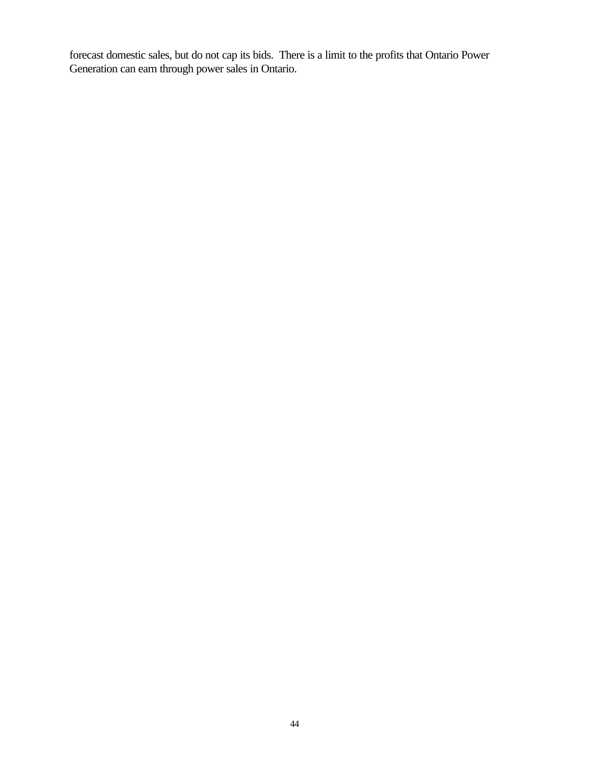forecast domestic sales, but do not cap its bids. There is a limit to the profits that Ontario Power Generation can earn through power sales in Ontario.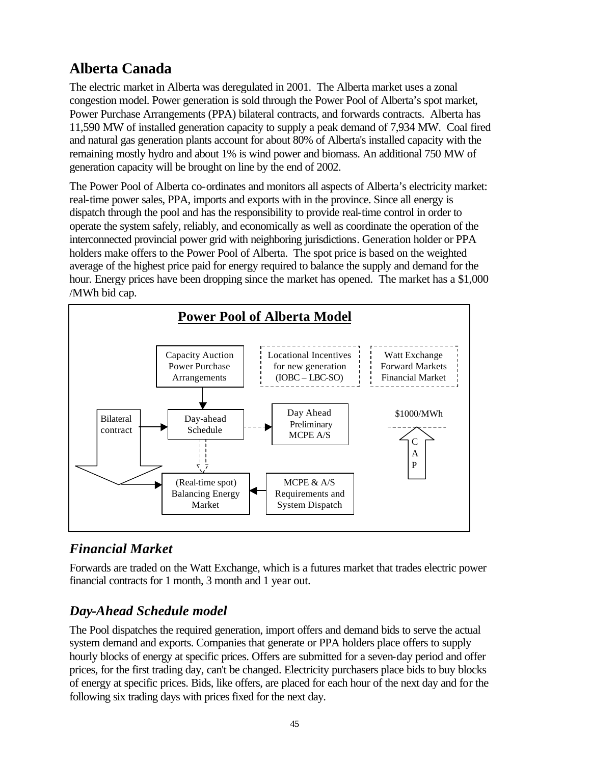# **Alberta Canada**

The electric market in Alberta was deregulated in 2001. The Alberta market uses a zonal congestion model. Power generation is sold through the Power Pool of Alberta's spot market, Power Purchase Arrangements (PPA) bilateral contracts, and forwards contracts. Alberta has 11,590 MW of installed generation capacity to supply a peak demand of 7,934 MW. Coal fired and natural gas generation plants account for about 80% of Alberta's installed capacity with the remaining mostly hydro and about 1% is wind power and biomass. An additional 750 MW of generation capacity will be brought on line by the end of 2002.

The Power Pool of Alberta co-ordinates and monitors all aspects of Alberta's electricity market: real-time power sales, PPA, imports and exports with in the province. Since all energy is dispatch through the pool and has the responsibility to provide real-time control in order to operate the system safely, reliably, and economically as well as coordinate the operation of the interconnected provincial power grid with neighboring jurisdictions. Generation holder or PPA holders make offers to the Power Pool of Alberta. The spot price is based on the weighted average of the highest price paid for energy required to balance the supply and demand for the hour. Energy prices have been dropping since the market has opened. The market has a \$1,000 /MWh bid cap.



# *Financial Market*

Forwards are traded on the Watt Exchange, which is a futures market that trades electric power financial contracts for 1 month, 3 month and 1 year out.

# *Day-Ahead Schedule model*

The Pool dispatches the required generation, import offers and demand bids to serve the actual system demand and exports. Companies that generate or PPA holders place offers to supply hourly blocks of energy at specific prices. Offers are submitted for a seven-day period and offer prices, for the first trading day, can't be changed. Electricity purchasers place bids to buy blocks of energy at specific prices. Bids, like offers, are placed for each hour of the next day and for the following six trading days with prices fixed for the next day.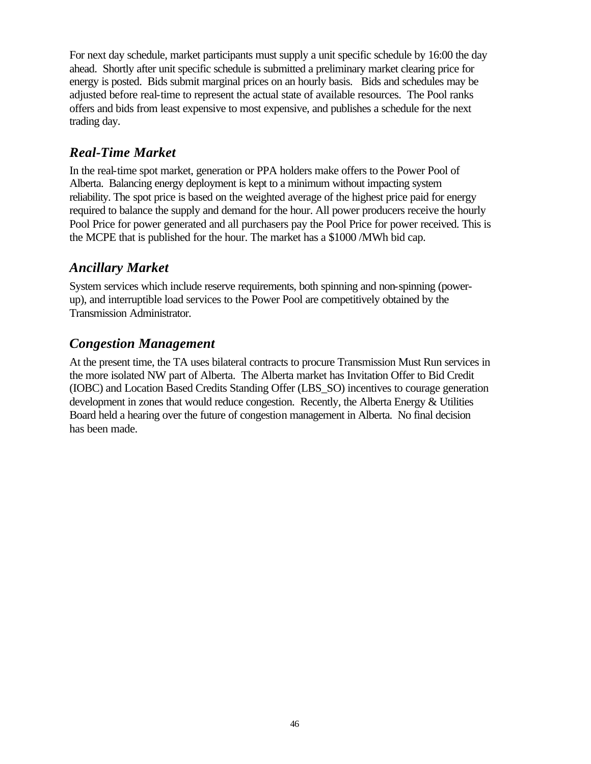For next day schedule, market participants must supply a unit specific schedule by 16:00 the day ahead. Shortly after unit specific schedule is submitted a preliminary market clearing price for energy is posted. Bids submit marginal prices on an hourly basis. Bids and schedules may be adjusted before real-time to represent the actual state of available resources. The Pool ranks offers and bids from least expensive to most expensive, and publishes a schedule for the next trading day.

# *Real-Time Market*

In the real-time spot market, generation or PPA holders make offers to the Power Pool of Alberta. Balancing energy deployment is kept to a minimum without impacting system reliability. The spot price is based on the weighted average of the highest price paid for energy required to balance the supply and demand for the hour. All power producers receive the hourly Pool Price for power generated and all purchasers pay the Pool Price for power received. This is the MCPE that is published for the hour. The market has a \$1000 /MWh bid cap.

# *Ancillary Market*

System services which include reserve requirements, both spinning and non-spinning (powerup), and interruptible load services to the Power Pool are competitively obtained by the Transmission Administrator.

# *Congestion Management*

At the present time, the TA uses bilateral contracts to procure Transmission Must Run services in the more isolated NW part of Alberta. The Alberta market has Invitation Offer to Bid Credit (IOBC) and Location Based Credits Standing Offer (LBS\_SO) incentives to courage generation development in zones that would reduce congestion. Recently, the Alberta Energy & Utilities Board held a hearing over the future of congestion management in Alberta. No final decision has been made.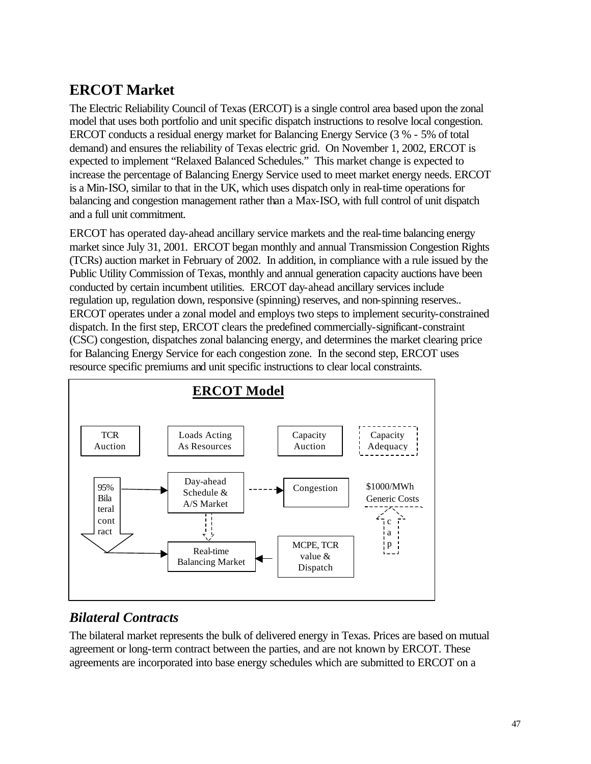# **ERCOT Market**

The Electric Reliability Council of Texas (ERCOT) is a single control area based upon the zonal model that uses both portfolio and unit specific dispatch instructions to resolve local congestion. ERCOT conducts a residual energy market for Balancing Energy Service (3 % - 5% of total demand) and ensures the reliability of Texas electric grid. On November 1, 2002, ERCOT is expected to implement "Relaxed Balanced Schedules." This market change is expected to increase the percentage of Balancing Energy Service used to meet market energy needs. ERCOT is a Min-ISO, similar to that in the UK, which uses dispatch only in real-time operations for balancing and congestion management rather than a Max-ISO, with full control of unit dispatch and a full unit commitment.

ERCOT has operated day-ahead ancillary service markets and the real-time balancing energy market since July 31, 2001. ERCOT began monthly and annual Transmission Congestion Rights (TCRs) auction market in February of 2002. In addition, in compliance with a rule issued by the Public Utility Commission of Texas, monthly and annual generation capacity auctions have been conducted by certain incumbent utilities. ERCOT day-ahead ancillary services include regulation up, regulation down, responsive (spinning) reserves, and non-spinning reserves.. ERCOT operates under a zonal model and employs two steps to implement security-constrained dispatch. In the first step, ERCOT clears the predefined commercially-significant-constraint (CSC) congestion, dispatches zonal balancing energy, and determines the market clearing price for Balancing Energy Service for each congestion zone. In the second step, ERCOT uses resource specific premiums and unit specific instructions to clear local constraints.



# *Bilateral Contracts*

The bilateral market represents the bulk of delivered energy in Texas. Prices are based on mutual agreement or long-term contract between the parties, and are not known by ERCOT. These agreements are incorporated into base energy schedules which are submitted to ERCOT on a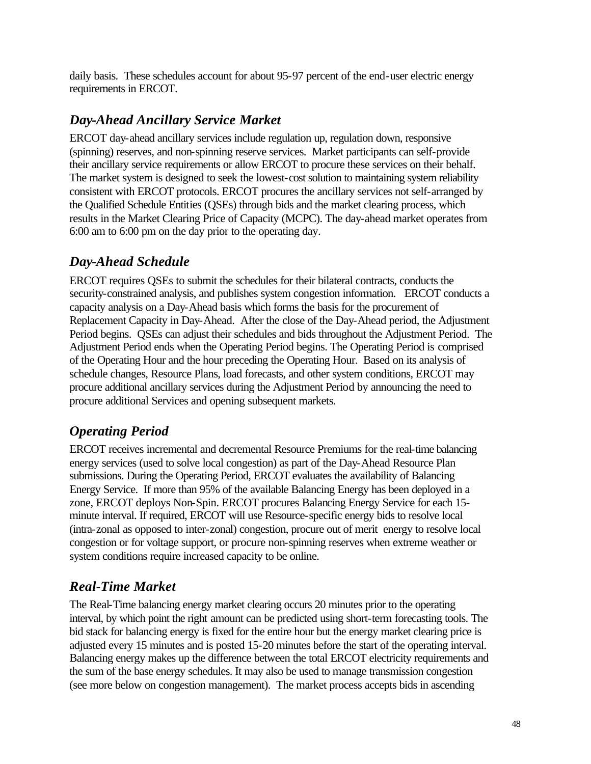daily basis. These schedules account for about 95-97 percent of the end-user electric energy requirements in ERCOT.

# *Day-Ahead Ancillary Service Market*

ERCOT day-ahead ancillary services include regulation up, regulation down, responsive (spinning) reserves, and non-spinning reserve services. Market participants can self-provide their ancillary service requirements or allow ERCOT to procure these services on their behalf. The market system is designed to seek the lowest-cost solution to maintaining system reliability consistent with ERCOT protocols. ERCOT procures the ancillary services not self-arranged by the Qualified Schedule Entities (QSEs) through bids and the market clearing process, which results in the Market Clearing Price of Capacity (MCPC). The day-ahead market operates from 6:00 am to 6:00 pm on the day prior to the operating day.

# *Day-Ahead Schedule*

ERCOT requires QSEs to submit the schedules for their bilateral contracts, conducts the security-constrained analysis, and publishes system congestion information. ERCOT conducts a capacity analysis on a Day-Ahead basis which forms the basis for the procurement of Replacement Capacity in Day-Ahead. After the close of the Day-Ahead period, the Adjustment Period begins. QSEs can adjust their schedules and bids throughout the Adjustment Period. The Adjustment Period ends when the Operating Period begins. The Operating Period is comprised of the Operating Hour and the hour preceding the Operating Hour. Based on its analysis of schedule changes, Resource Plans, load forecasts, and other system conditions, ERCOT may procure additional ancillary services during the Adjustment Period by announcing the need to procure additional Services and opening subsequent markets.

# *Operating Period*

ERCOT receives incremental and decremental Resource Premiums for the real-time balancing energy services (used to solve local congestion) as part of the Day-Ahead Resource Plan submissions. During the Operating Period, ERCOT evaluates the availability of Balancing Energy Service. If more than 95% of the available Balancing Energy has been deployed in a zone, ERCOT deploys Non-Spin. ERCOT procures Balancing Energy Service for each 15 minute interval. If required, ERCOT will use Resource-specific energy bids to resolve local (intra-zonal as opposed to inter-zonal) congestion, procure out of merit energy to resolve local congestion or for voltage support, or procure non-spinning reserves when extreme weather or system conditions require increased capacity to be online.

# *Real-Time Market*

The Real-Time balancing energy market clearing occurs 20 minutes prior to the operating interval, by which point the right amount can be predicted using short-term forecasting tools. The bid stack for balancing energy is fixed for the entire hour but the energy market clearing price is adjusted every 15 minutes and is posted 15-20 minutes before the start of the operating interval. Balancing energy makes up the difference between the total ERCOT electricity requirements and the sum of the base energy schedules. It may also be used to manage transmission congestion (see more below on congestion management). The market process accepts bids in ascending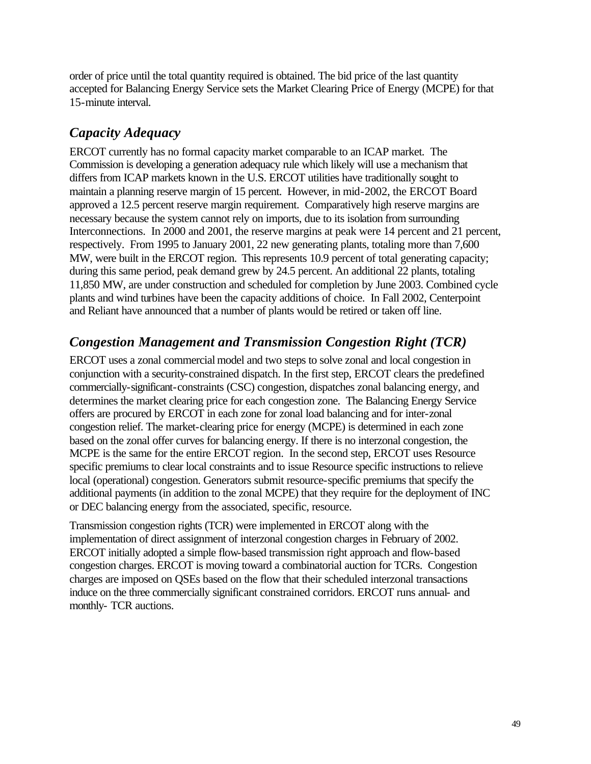order of price until the total quantity required is obtained. The bid price of the last quantity accepted for Balancing Energy Service sets the Market Clearing Price of Energy (MCPE) for that 15-minute interval.

# *Capacity Adequacy*

ERCOT currently has no formal capacity market comparable to an ICAP market. The Commission is developing a generation adequacy rule which likely will use a mechanism that differs from ICAP markets known in the U.S. ERCOT utilities have traditionally sought to maintain a planning reserve margin of 15 percent. However, in mid-2002, the ERCOT Board approved a 12.5 percent reserve margin requirement. Comparatively high reserve margins are necessary because the system cannot rely on imports, due to its isolation from surrounding Interconnections. In 2000 and 2001, the reserve margins at peak were 14 percent and 21 percent, respectively. From 1995 to January 2001, 22 new generating plants, totaling more than 7,600 MW, were built in the ERCOT region. This represents 10.9 percent of total generating capacity; during this same period, peak demand grew by 24.5 percent. An additional 22 plants, totaling 11,850 MW, are under construction and scheduled for completion by June 2003. Combined cycle plants and wind turbines have been the capacity additions of choice. In Fall 2002, Centerpoint and Reliant have announced that a number of plants would be retired or taken off line.

# *Congestion Management and Transmission Congestion Right (TCR)*

ERCOT uses a zonal commercial model and two steps to solve zonal and local congestion in conjunction with a security-constrained dispatch. In the first step, ERCOT clears the predefined commercially-significant-constraints (CSC) congestion, dispatches zonal balancing energy, and determines the market clearing price for each congestion zone. The Balancing Energy Service offers are procured by ERCOT in each zone for zonal load balancing and for inter-zonal congestion relief. The market-clearing price for energy (MCPE) is determined in each zone based on the zonal offer curves for balancing energy. If there is no interzonal congestion, the MCPE is the same for the entire ERCOT region. In the second step, ERCOT uses Resource specific premiums to clear local constraints and to issue Resource specific instructions to relieve local (operational) congestion. Generators submit resource-specific premiums that specify the additional payments (in addition to the zonal MCPE) that they require for the deployment of INC or DEC balancing energy from the associated, specific, resource.

Transmission congestion rights (TCR) were implemented in ERCOT along with the implementation of direct assignment of interzonal congestion charges in February of 2002. ERCOT initially adopted a simple flow-based transmission right approach and flow-based congestion charges. ERCOT is moving toward a combinatorial auction for TCRs. Congestion charges are imposed on QSEs based on the flow that their scheduled interzonal transactions induce on the three commercially significant constrained corridors. ERCOT runs annual- and monthly- TCR auctions.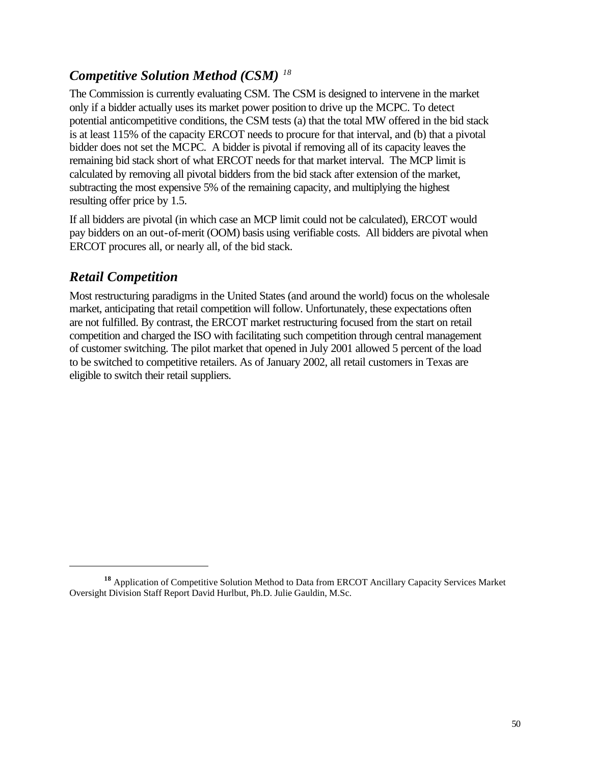# *Competitive Solution Method (CSM) <sup>18</sup>*

The Commission is currently evaluating CSM. The CSM is designed to intervene in the market only if a bidder actually uses its market power position to drive up the MCPC. To detect potential anticompetitive conditions, the CSM tests (a) that the total MW offered in the bid stack is at least 115% of the capacity ERCOT needs to procure for that interval, and (b) that a pivotal bidder does not set the MCPC. A bidder is pivotal if removing all of its capacity leaves the remaining bid stack short of what ERCOT needs for that market interval. The MCP limit is calculated by removing all pivotal bidders from the bid stack after extension of the market, subtracting the most expensive 5% of the remaining capacity, and multiplying the highest resulting offer price by 1.5.

If all bidders are pivotal (in which case an MCP limit could not be calculated), ERCOT would pay bidders on an out-of-merit (OOM) basis using verifiable costs. All bidders are pivotal when ERCOT procures all, or nearly all, of the bid stack.

### *Retail Competition*

l

Most restructuring paradigms in the United States (and around the world) focus on the wholesale market, anticipating that retail competition will follow. Unfortunately, these expectations often are not fulfilled. By contrast, the ERCOT market restructuring focused from the start on retail competition and charged the ISO with facilitating such competition through central management of customer switching. The pilot market that opened in July 2001 allowed 5 percent of the load to be switched to competitive retailers. As of January 2002, all retail customers in Texas are eligible to switch their retail suppliers.

**<sup>18</sup>** Application of Competitive Solution Method to Data from ERCOT Ancillary Capacity Services Market Oversight Division Staff Report David Hurlbut, Ph.D. Julie Gauldin, M.Sc.